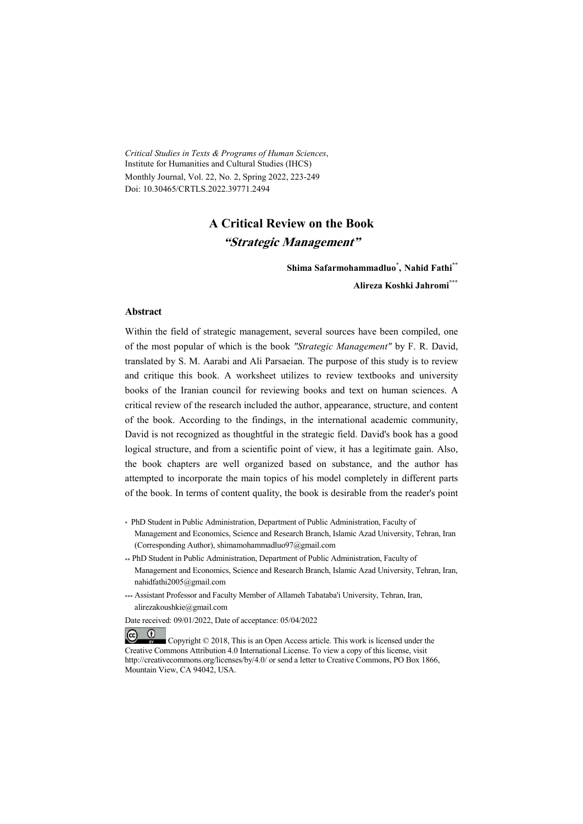*Critical Studies in Texts & Programs of Human Sciences*, Institute for Humanities and Cultural Studies (IHCS) Monthly Journal, Vol. 22, No. 2, Spring 2022, 223-249 Doi: 10.30465/CRTLS.2022.39771.2494

# **A Critical Review on the Book "Strategic Management"**

**Shima Safarmohammadluo\* , Nahid Fathi\*\***

**Alireza Koshki Jahromi\*\*\***

#### **Abstract**

 $(\mathbf{i})$ 

Within the field of strategic management, several sources have been compiled, one of the most popular of which is the book *"Strategic Management"* by F. R. David, translated by S. M. Aarabi and Ali Parsaeian. The purpose of this study is to review and critique this book. A worksheet utilizes to review textbooks and university books of the Iranian council for reviewing books and text on human sciences. A critical review of the research included the author, appearance, structure, and content of the book. According to the findings, in the international academic community, David is not recognized as thoughtful in the strategic field. David's book has a good logical structure, and from a scientific point of view, it has a legitimate gain. Also, the book chapters are well organized based on substance, and the author has attempted to incorporate the main topics of his model completely in different parts of the book. In terms of content quality, the book is desirable from the reader's point

- \* PhD Student in Public Administration, Department of Public Administration, Faculty of Management and Economics, Science and Research Branch, Islamic Azad University, Tehran, Iran (Corresponding Author), shimamohammadluo97@gmail.com
- \*\* PhD Student in Public Administration, Department of Public Administration, Faculty of Management and Economics, Science and Research Branch, Islamic Azad University, Tehran, Iran, nahidfathi2005@gmail.com
- \*\*\* Assistant Professor and Faculty Member of Allameh Tabataba'i University, Tehran, Iran, alirezakoushkie@gmail.com

Date received: 09/01/2022, Date of acceptance: 05/04/2022

 $(c)$  Copyright © 2018, This is an Open Access article. This work is licensed under the Creative Commons Attribution 4.0 International License. To view a copy of this license, visit http://creativecommons.org/licenses/by/4.0/ or send a letter to Creative Commons, PO Box 1866, Mountain View, CA 94042, USA.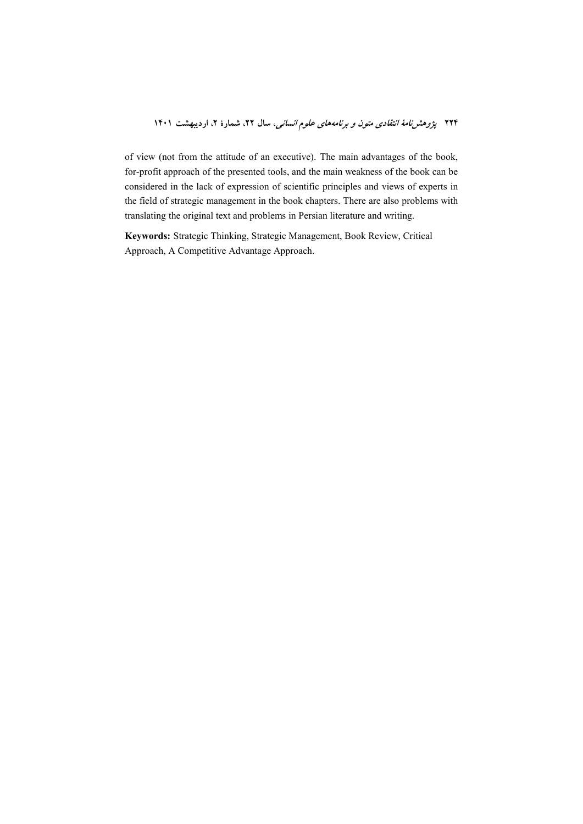of view (not from the attitude of an executive). The main advantages of the book, for-profit approach of the presented tools, and the main weakness of the book can be considered in the lack of expression of scientific principles and views of experts in the field of strategic management in the book chapters. There are also problems with translating the original text and problems in Persian literature and writing.

**Keywords:** Strategic Thinking, Strategic Management, Book Review, Critical Approach, A Competitive Advantage Approach.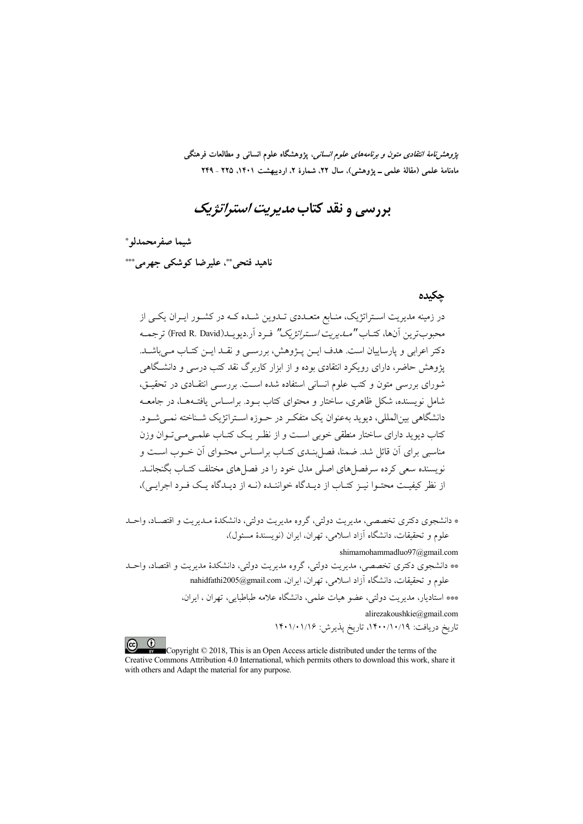*پژوهشنامهٔ انتقادی متون و برنامههای علوم انسانی،* پژوهشگاه علوم انسانی و مطالعات فرهنگی ماهنامهٔ علمی (مقالهٔ علمی ــ پژوهشی)، سال ۲۲، شمارهٔ ۲، اردیبهشت ۱۴۰۱، ۲۲۵ ـ ۲۲۹

# بررسي و نقد کتاب *مديريت استراتژيک*

شيما صفر محمدلو \*

ناهيد فتحي"، عليرضا كوشكي جهرمي""

#### حكىدە

در زمینه مدیریت اسـتراتژیک، منـابع متعـددی تـدوین شـده کـه در کشـور ایـران یکـی از محبوب ترين أنها، كتــاب *"مــاريريت اســتراتژيك"* فـر د أر.ديو پــاـ(Fred R. David) ترجمــه دکتر اعرابی و پارساییان است. هدف ایــز. پــژوهش، بررســی و نقــد ایــز. کتــاب مــی باشــد. پژوهش حاضر، دارای رویکرد انتقادی بوده و از ابزار کاربرگ نقد کتب درسه و دانشگاهه ِ شورای بررسی متون و کتب علوم انسانی استفاده شده است. بررســی انتقــادی در تحقیــق، شامل نویسنده، شکل ظاهری، ساختار و محتوای کتاب بـود. براســاس یافتــههــا، در جامعــه دانشگاهی بین|لمللی، دیوید بهعنوان یک متفکر در حـوزه اسـتراتژیک شــناخته نمــی شــود. ۔<br>کتاب دیو ید دارای ساختار منطقی خوبی اسـت و از نظـر یـک کتـاب علمـی مـی تـوان وزن مناسبی برای آن قائل شد. ضمنا، فصل بنـدی کتـاب براسـاس محتـوای آن خـوب اسـت و نویسنده سعی کرده سرفصل های اصلی مدل خود را در فصل های مختلف کتــاب بگنجانــد. از نظر کیفیت محتـوا نیـز کتـاب از دیـدگاه خواننـده (نـه از دیـدگاه یـک فـرد اجرایـی)،

\* دانشجوي دكتري تخصصي، مديريت دولتي، گروه مديريت دولتي، دانشكدهٔ مـديريت و اقتصـاد، واحـد علوم و تحقیقات، دانشگاه آزاد اسلامی، تهران، ایران (نویسندهٔ مسئول)،

shimamohammadluo97@gmail.com

\*\* دانشجوی دکتری تخصصی، مدیریت دولتی، گروه مدیریت دولتی، دانشکدهٔ مدیریت و اقتصاد، واحـد علوم و تحقيقات، دانشگاه آزاد اسلامي، تهران، ايران، nahidfathi2005@gmail.com

> \*\*\* استادیار، مدیریت دولتی، عضو هیات علمی، دانشگاه علامه طباطبایی، تهران ، ایران، alirezakoushkie@gmail.com

> > تاريخ دريافت: ١٤٠٠/١٠/١٩، تاريخ پذيرش: ١٤٠١/٠١/١۶

 $\left($   $\infty$   $\infty$ Copyright © 2018, This is an Open Access article distributed under the terms of the Creative Commons Attribution 4.0 International, which permits others to download this work, share it with others and Adapt the material for any purpose.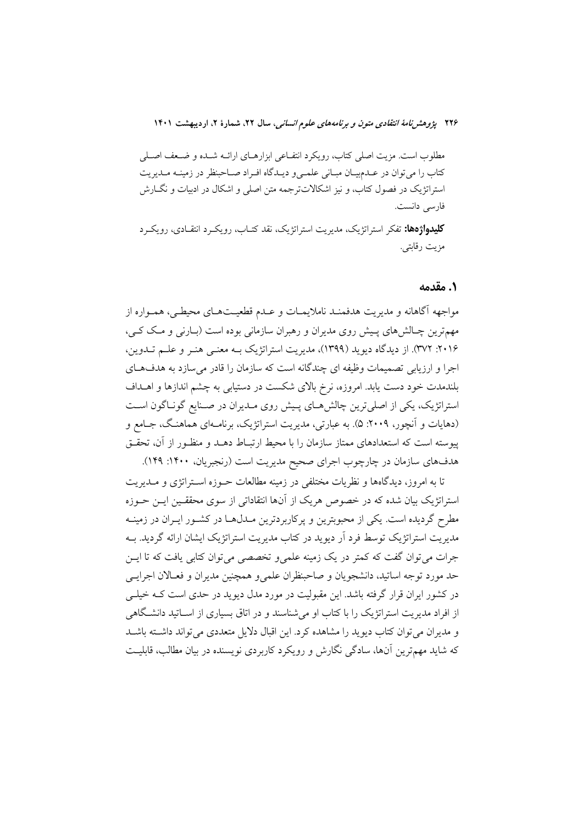مطلوب است. مزيت اصلي كتاب، رويكرد انتفــاعي ابزارهــاي ارائــه شــده و ضــعف اصــلي کتاب را می توان در عـدمبيـان مبـاني علمـيو ديـدگاه افـراد صـاحبنظر در زمينـه مـديريت استراتژیک در فصول کتاب، و نیز اشکالاتترجمه متن اصلی و اشکال در ادبیات و نگــارش فارسى دانست.

**کلیدواژهها:** تفکر استراتژیک، مدیریت استراتژیک، نقد کتــاب، رویکــرد انتقــادی، رویکــرد مزيت رقابتي.

#### ١. مقدمه

مواجهه أگاهانه و مديريت هدفمنـد ناملايمــات و عــدم قطعيــتـهــاي محيطــي، همــواره از مهمترین چـالش&ای پـیش روی مدیران و رهبران سازمانی بوده است (بـارنی و مـک کـی، ۲۰۱۶: ۳۷۲). از دیدگاه دیوید (۱۳۹۹)، مدیریت استراتژیک بـه معنـی هنـر و علــم تــدوین، اجرا و ارزیابی تصمیمات وظیفه ای چندگانه است که سازمان را قادر می سازد به هدف های بلندمدت خود دست یابد. امروزه، نرخ بالای شکست در دستیابی به چشم اندازها و اهــداف استراتژیک، یکی از اصلی ترین چالش هـای پـیش روی مـدیران در صـنایع گونـاگون اسـت (دهایات و آنچور، ۲۰۰۹: ۵). به عبارتی، مدیریت استراتژیک، برنامـهای هماهنـگ، جـامع و پیوسته است که استعدادهای ممتاز سازمان را با محیط ارتبـاط دهــد و منظــور از آن، تحقــق هدفهای سازمان در چارچوب اجرای صحیح مدیریت است (رنجبریان، ۱۴۰۰: ۱۲۹).

تا به امروز، دیدگاهها و نظریات مختلفی در زمینه مطالعات حــوزه اســتراتژی و مــدیریت استراتژیک بیان شده که در خصوص هریک از آنها انتقاداتی از سوی محققـین ایــن حــوزه مطرح گردیده است. یکی از محبوبترین و یرکاربردترین مـدلهـا در کشـور ایـران در زمینـه مدیریت استراتژیک توسط فرد آر دیوید در کتاب مدیریت استراتژیک ایشان ارائه گردید. بــه جرات می توان گفت که کمتر در یک زمینه علمی و تخصصی می توان کتابی یافت که تا ایــن حد مورد توجه اساتید، دانشجویان و صاحبنظران علمی و همچنین مدیران و فعـالان اجرایـبی در کشور ایران قرار گرفته باشد. این مقبولیت در مورد مدل دیوید در حدی است کــه خیلــی از افراد مدیریت استراتژیک را با کتاب او میشناسند و در اتاق بسیاری از اسـاتید دانشـگاهی و مدیران می توان کتاب دیوید را مشاهده کرد. این اقبال دلایل متعددی می تواند داشته باشد که شاید مهمترین آنها، سادگی نگارش و رویکرد کاربردی نویسنده در بیان مطالب، قابلیت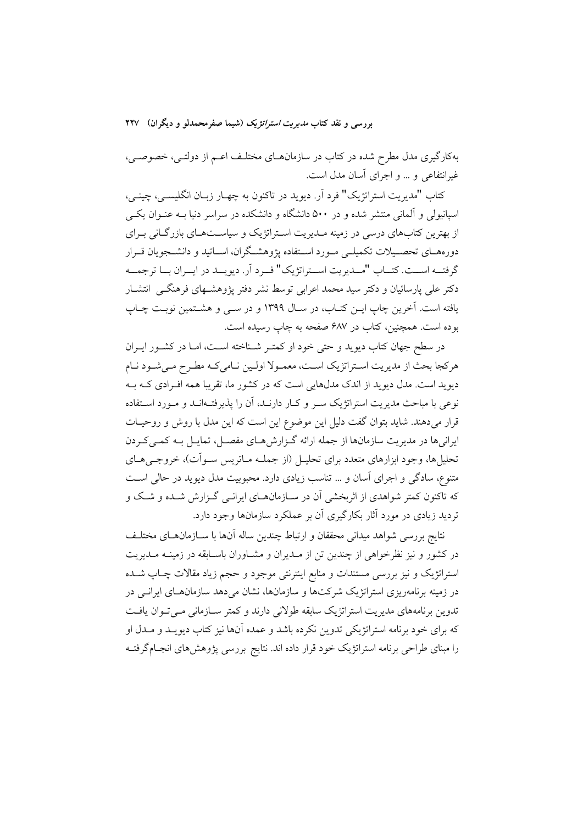بهکارگیری مدل مطرح شده در کتاب در سازمانهـای مختلـف اعـم از دولتـی، خصوصـی، غیرانتفاعی و ... و اجرای آسان مدل است.

کتاب "مدیریت استراتژیک" فرد آر. دیوید در تاکنون به چهـار زبـان انگلیســی، چینــی، اسپانیولی و آلمانی منتشر شده و در ۵۰۰ دانشگاه و دانشکده در سراسر دنیا بـه عنـوان یکـی از بهترین کتابهای درسی در زمینه مـدیریت اسـتراتژیک و سیاسـتهـای بازرگـانی بـرای دورههـاي تحصـيلات تكميلـي مـورد اسـتفاده يژوهشـگران، اســاتيد و دانشــجويان قــرار گرفتــه اســت. كتــاب "مــديريت اســتراتژيك" فــرد أر. ديويــد در ايــران بــا ترجمـــه دکتر علی پارسائیان و دکتر سید محمد اعرابی توسط نشر دفتر پژوهشـهای فرهنگـی انتشـار يافته است. آخرين چاپ ايــن كتــاب، در ســال ١٣٩٩ و در ســي و هشــتمين نوبـت چــاپ بوده است. همچنین، کتاب در ۶۸۷ صفحه به چاپ رسیده است.

در سطح جهان کتاب دیوید و حتی خود او کمتـر شـناخته اسـت، امـا در کشـور ایـران هركجا بحث از مديريت استراتژيک است، معمـولا اولـين نـاميكـه مطـرح مـيشـود نـام دیوید است. مدل دیوید از اندک مدلهایی است که در کشور ما، تقریبا همه افـرادی کــه بــه نوعی با مباحث مدیریت استراتژیک سـر و کـار دارنـد، آن را پذیرفتـهانـد و مـورد اسـتفاده قرار میدهند. شاید بتوان گفت دلیل این موضوع این است که این مدل با روش و روحیـات ایرانیها در مدیریت سازمانها از جمله ارائه گـزارشهـای مفصـل، تمایـل بـه کمـی کـردن تحلیل ها، وجود ابزارهای متعدد برای تحلیـل (از جملــه مــاتریس ســواّت)، خروجــی هــای متنوع، سادگی و اجرای آسان و … تناسب زیادی دارد. محبوبیت مدل دیوید در حالی است که تاکنون کمتر شواهدی از اثربخشی آن در سـازمانهـای ایرانـی گـزارش شـده و شـک و تردید زیادی در مورد آثار بکارگیری آن بر عملکرد سازمانها وجود دارد.

نتايج بررسي شواهد ميداني محققان و ارتباط چندين ساله آنها با سـازمانهــاي مختلــف در کشور و نیز نظرخواهی از چندین تن از مـدیران و مشـاوران باسـابقه در زمینــه مـدیریت استراتژیک و نیز بررسی مستندات و منابع اینترنتی موجود و حجم زیاد مقالات چـاپ شـده در زمینه برنامهریزی استراتژیک شرکتها و سازمانها، نشان می دهد سازمانهـای ایرانــی در تدوین برنامههای مدیریت استراتژیک سابقه طولانی دارند و کمتر سـازمانی مـی تـوان یافـت که برای خود برنامه استراتژیکی تدوین نکرده باشد و عمده آنها نیز کتاب دیویــد و مــدل او را مبنای طراحی برنامه استراتژیک خود قرار داده اند. نتایج بررسی پژوهشهای انجـامگرفتـه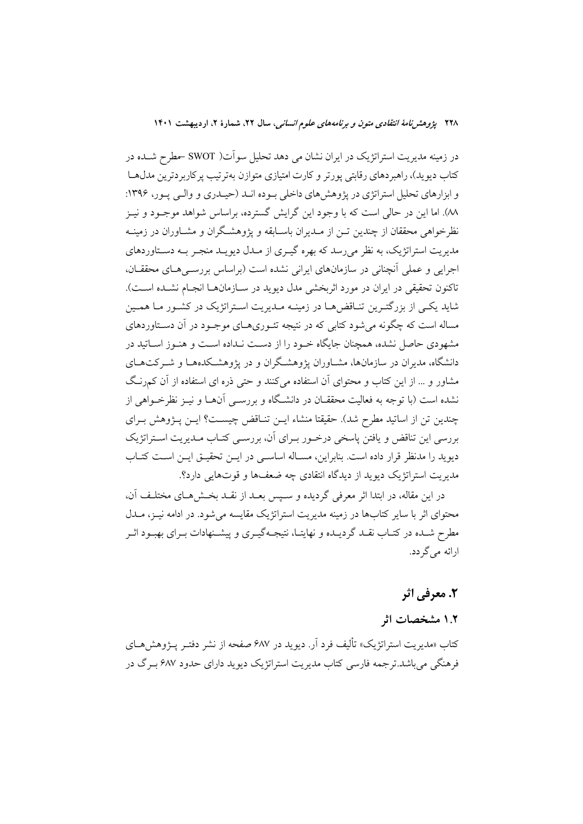در زمینه مدیریت استراتژیک در ایران نشان می دهد تحلیل سواّت( SWOT حطرح شــده در کتاب دیوید)، راهبردهای رقابتی پورتر و کارت امتیازی متوازن بهترتیب پرکاربردترین مدل هـا و ابزارهای تحلیل استراتژی در پژوهش های داخلی بوده انـد (حیـدری و والـی پـور، ۱۳۹۶: ٨٨). اما اين در حالي است كه با وجود اين گرايش گسترده، براساس شواهد موجــود و نيــز نظرخواهی محققان از چندین تــن از مــدیران باســابقه و پژوهشــگران و مشــاوران در زمینــه مدیریت استراتژیک، به نظر می رسد که بهره گیـری از مـدل دیویـد منجـر بــه دسـتاوردهای اجرایی و عملی آنچنانی در سازمانهای ایرانی نشده است (براساس بررسـیهـای محققـان، تاكنون تحقيقي در ايران در مورد اثربخشي مدل ديويد در ســازمانهــا انجــام نشــده اســت). شاید یکـی از بزرگتـرین تنـاقض۵مـا در زمینـه مـدیریت اسـتراتژیک در کشـور مـا همـین مساله است که چگونه می شود کتابی که در نتیجه تئـوريهـای موجـود در آن دسـتاوردهای مشهودی حاصل نشده، همچنان جایگاه خـود را از دسـت نـداده اسـت و هنـوز اســاتید در دانشگاه، مدیران در سازمانها، مشــاوران یژوهشــگران و در یژوهشــکدههــا و شــرکتهــای مشاور و … از این کتاب و محتوای آن استفاده می کنند و حتی ذره ای استفاده از آن کمرنگ نشده است (با توجه به فعالیت محققــان در دانشــگاه و بررســی آن۱مـا و نیــز نظرخــواهـی از چندین تن از اساتید مطرح شد). حقیقتا منشاء ایــن تنـاقض چیســت؟ ایــن پــژوهش بــرای بررسی این تناقض و یافتن پاسخی درخـور بـرای آن، بررسـی کتـاب مـدیریت اسـتراتژیک دیوید را مدنظر قرار داده است. بنابراین، مسـاله اساسـی در ایــن تحقیــق ایــن اســت کتــاب مدیریت استراتژیک دیوید از دیدگاه انتقادی چه ضعفها و قوتهایی دارد؟.

در این مقاله، در ابتدا اثر معرفی گردیده و سـیس بعـد از نقـد بخـش۵هـای مختلـف آن، محتوای اثر با سایر کتابها در زمینه مدیریت استراتژیک مقایسه می شود. در ادامه نیــز، مــدل مطرح شـده در کتـاب نقـد گرديـده و نهايتـا، نتيجـهگيـري و پيشـنهادات بـراي بهبـود اثـر ارائه مي گر دد.

# 2. معرفي اثر

# ۱.۲ مشخصات اثر

کتاب «مدیریت استراتژیک» تألیف فرد اَر. دیوید در ۶۸۷ صفحه از نشر دفتـر پــژوهش۵حـای فرهنگی می باشد.تر جمه فارسی کتاب مدیریت استراتژیک دیوید دارای حدود ۶۸۷ بـرگ در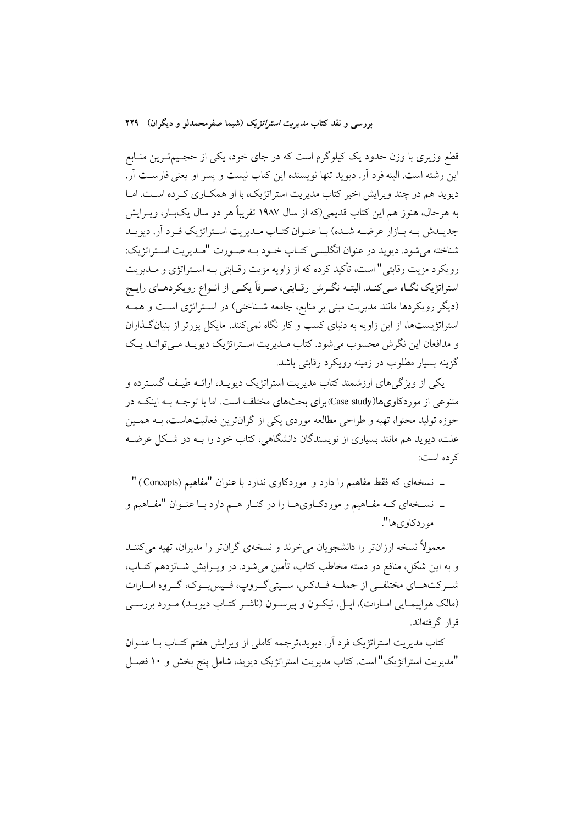قطع وزیری با وزن حدود یک کیلوگرم است که در جای خود، یکی از حجـیمتـرین منـابع این رشته است. البته فرد آر. دیوید تنها نویسنده این کتاب نیست و پسر او یعنی فارســت آر. دیوید هم در چند ویرایش اخیر کتاب مدیریت استراتژیک، با او همکـاری کـرده اسـت. امـا به هرحال، هنوز هم این کتاب قدیمی(که از سال ۱۹۸۷ تقریباً هر دو سال یکبــار، ویــرایش جدیــدش بــه بــازار عرضــه شــده) بــا عنــوان کتــاب مــدیریت اســتراتژیک فــرد اَر. دیویــد شناخته مي شود. ديويد در عنوان انگليسي كتـاب خـود بـه صـورت "مـديريت اسـتراتژيك: رویکرد مزیت رقابتی" است، تأکید کرده که از زاویه مزیت رقـابتی بـه اسـتراتژی و مـدیریت استراتژیک نگـاه مـيکنـد. البتـه نگـرش رقـابتي، صـرفاً يکـي از انـواع رويکردهـاي رايـج (دیگر رویکردها مانند مدیریت مبنی بر منابع، جامعه شـناختی) در اسـتراتژی اسـت و همـه استراتژیستها، از این زاویه به دنیای کسب و کار نگاه نمی کنند. مایکل پورتر از بنیان گـذاران و مدافعان این نگرش محسوب می شود. کتاب مـدیریت اسـتراتژیک دیویـد مـی توانـد یـک گزینه بسیار مطلوب در زمینه رویکرد رقایتی باشد.

یکم از ویژگی های ارزشمند کتاب مدیریت استراتژیک دیویـد، ارائــه طیـف گســترده و متنوعی از موردکاویها(Case study)برای بحثهای مختلف است. اما با توجـه بـه اینکـه در حوزه تولید محتوا، تهیه و طراحی مطالعه موردی یکی از گرانترین فعالیتهاست، بــه همـین علت، دیوید هم مانند بسیاری از نویسندگان دانشگاهی، کتاب خود را بــه دو شــکل عرضــه کر ده است:

- ـ نسخهای که فقط مفاهیم را دارد و موردکاوی ندارد با عنوان "مفاهیم (Concepts) "
- ـ نســخهاي كــه مفــاهيم و موردكــاويهــا را در كنــار هــم دارد بــا عنــوان "مفــاهيم و مور دکاو ی ها".

معمولاً نسخه ارزانتر را دانشجویان می خرند و نسخهی گرانتر را مدیران، تهیه می کننـد و به این شکل، منافع دو دسته مخاطب کتاب، تأمین میشود. در ویــرایش شــانزدهم کتــاب، شــرکتهــاي مختلفــي از جملــه فــدکس، ســيتي گــروپ، فــيس بــوک، گــروه امــارات (مالک هواپیمـایی امـارات)، اپـل، نیکـون و پیرسـون (ناشـر کتـاب دیویـد) مـورد بررسـی قرار گرفتهاند.

کتاب مدیریت استراتژیک فرد آر. دیوید،ترجمه کاملی از ویرایش هفتم کتـاب بــا عنــوان "مدیریت استراتژیک"است. کتاب مدیریت استراتژیک دیوید، شامل پنج بخش و ۱۰ فصـل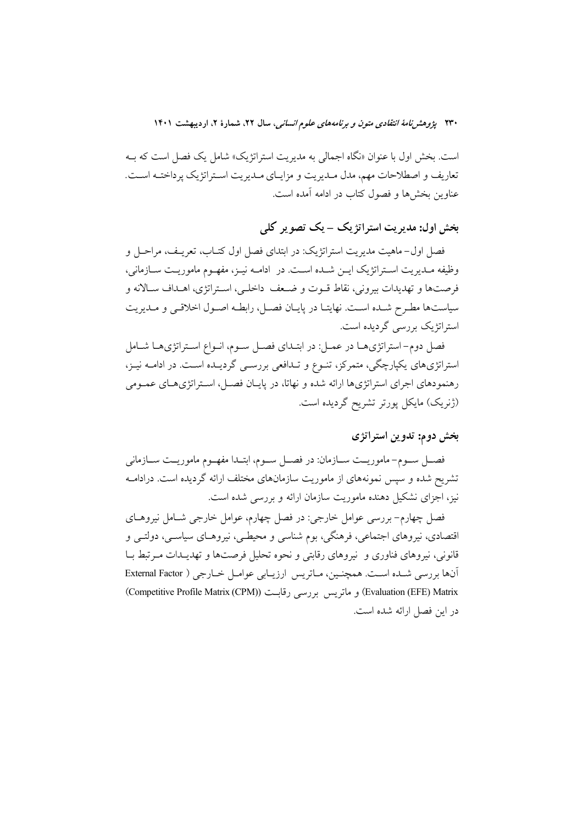است. بخش اول با عنوان «نگاه اجمالی به مدیریت استراتژیک» شامل یک فصل است که بــه تعاریف و اصطلاحات مهم، مدل مـدیریت و مزایـای مـدیریت اسـتراتژیک پرداختــه اسـت. عناوین بخشها و فصول کتاب در ادامه آمده است.

بخش اول: مديريت استراتژيک – يک تصوير کلي

فصل اول-ماهيت مديريت استراتژيک: در ابتداي فصل اول کتــاب، تعريــف، مراحــل و وظيفه مـديريت اسـتراتژيک ايــن شــده اســت. در ادامــه نيــز، مفهــوم ماموريــت ســازماني، فرصتها و تهديدات بيروني، نقاط قـوت و ضـعف داخلـي، اسـتراتژي، اهـداف سـالانه و سیاستها مطرح شـده اسـت. نهایتـا در پایـان فصـل، رابطـه اصـول اخلاقـی و مـدیریت استراتژیک بررسی گردیده است.

فصل دوم-استراتژیهـا در عمـل: در ابتـدای فصـل سـوم، انـواع اسـتراتژیهـا شـامل استراتژیهای یکپارچگی، متمرکز، تنوع و تـدافعی بررسـی گردیـده اسـت. در ادامـه نیـز، رهنمودهای اجرای استراتژیها ارائه شده و نهاتا، در پایـان فصـل، اسـتراتژیهـای عمـومی (ژنریک) مایکل پورتر تشریح گردیده است.

## بخش دوم: تدوين استراتژى

فصــل ســوم- ماموريــت ســازمان: در فصــل ســوم، ابتــدا مفهــوم ماموريــت ســازماني تشریح شده و سپس نمونههای از ماموریت سازمانهای مختلف ارائه گردیده است. درادامــه نیز، اجزای نشکیل دهنده ماموریت سازمان ارائه و بررسی شده است.

فصل چهارم- بررسی عوامل خارجی: در فصل چهارم، عوامل خارجی شـامل نیروهـای اقتصادی، نیروهای اجتماعی، فرهنگی، بوم شناسی و محیطـی، نیروهـای سیاســی، دولتــی و قانونی، نیروهای فناوری و نیروهای رقابتی و نحوه تحلیل فرصتها و تهدیـدات مـرتبط بــا آنها بررسی شده است. همچنین، مـاتریس ارزیـابی عوامـل خـارجی ( External Factor (Evaluation (EFE) Matrix) و ماتريس بررسي رقابت ((Competitive Profile Matrix (CPM)) در این فصل ارائه شده است.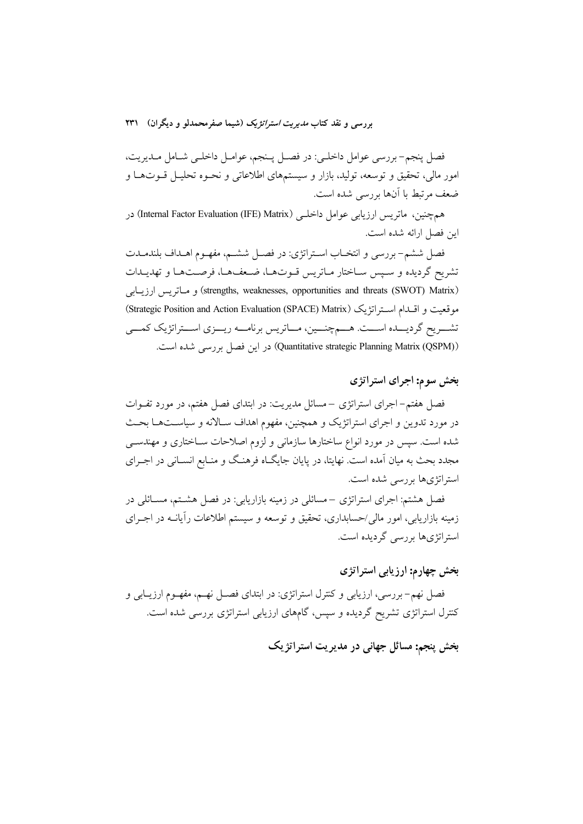فصل پنجم-بررسي عوامل داخلـي: در فصـل پـنجم، عوامـل داخلـي شـامل مـديريت، امور مالی، تحقیق و توسعه، تولید، بازار و سیستمهای اطلاعاتی و نحـوه تحلیــل قــوتهــا و ضعف مرتبط با آنها بررسی شده است.

همچنین، ماتریس ارزیابی عوامل داخلـی (Internal Factor Evaluation (IFE) Matrix) در ابن فصل ارائه شده است.

فصل ششم- بررسي و انتخـاب اسـتراتژي: در فصـل ششـم، مفهـوم اهــداف بلندمــدت تشريح گرديده و سيس ساختار ماتريس قـوتهـا، ضـعفـهـا، فرصـتهـا و تهديـدات (strengths, weaknesses, opportunities and threats (SWOT) Matrix) و ماتريس ارزيابي موقعيت و اقسدام استراتژيک (Strategic Position and Action Evaluation (SPACE) Matrix) تشـــريح گرديـــده اســـت. هـــمچنـــين، مــاتريس برنامـــه ريـــزي اســـتراتژيک کمـــي (Quantitative strategic Planning Matrix (QSPM)) در این فصل بررسی شده است.

## بخش سوم: اجرای استراتژی

فصل هفتم-اجرای استراتژی –مسائل مدیریت: در ابتدای فصل هفتم، در مورد تفــوات در مورد تدوین و اجرای استراتژیک و همچنین، مفهوم اهداف سـالانه و سیاسـتهـا بحـث شده است. سپس در مورد انواع ساختارها سازمانی و لزوم اصلاحات سـاختاری و مهندسـی مجدد بحث به میان آمده است. نهایتا، در پایان جایگـاه فرهنـگ و منـابع انســانی در اجــرای استراتژی ها پررسے شده است.

فصل هشتم: اجرای استراتژی –مسائلی در زمینه بازاریابی: در فصل هشتم، مســائلی در زمینه بازاریابی، امور مالی/حسابداری، تحقیق و توسعه و سیستم اطلاعات رأیانــه در اجــرای استراتژیها بررسی گردیده است.

### بخش چهارم: ارزیابی استراتژی

فصل نهم– بررسي، ارزيابي و كنترل استراتژي: در ابتداي فصــل نهــم، مفهــوم ارزيــابي و کنترل استراتژی تشریح گردیده و سپس، گامهای ارزیابی استراتژی بررسی شده است.

بخش پنجم: مسائل جهانی در مدیریت استراتژیک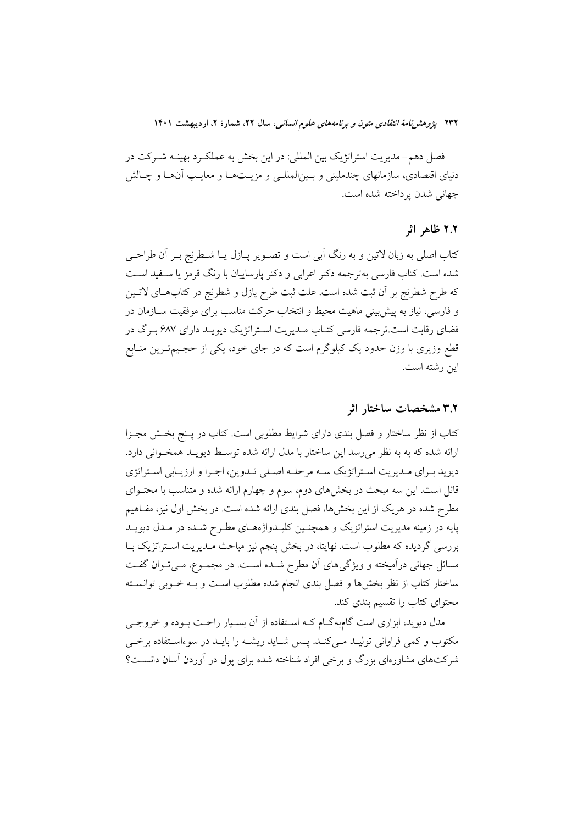۲۳۲ پژ*وهش نامهٔ انتقادی متون و برنامههای علوم انسانی،* سال ۲۲، شمارهٔ ۲، اردیبهشت ۱۴۰۱

فصل دهم- مدیریت استراتژیک بین المللی: در این بخش به عملکـرد بهینــه شــرکت در دنیای اقتصادی، سازمانهای چندملیتی و بـینالمللـی و مزیـتهـا و معایـب آنهـا و چـالش جهاني شدن يرداخته شده است.

#### ۲.۲ ظاهر اثر

کتاب اصلی به زبان لاتین و به رنگ آبی است و تصـویر پـازل پـا شـطرنج بـر آن طراحـی شده است. کتاب فارسی بهترجمه دکتر اعرابی و دکتر پارساییان با رنگ قرمز یا سـفید اسـت كه طرح شطرنج بر أن ثبت شده است. علت ثبت طرح پازل و شطرنج در كتابهـاي لاتـين و فارسی، نیاز به پیش بینی ماهیت محیط و انتخاب حرکت مناسب برای موفقیت ســازمان در فضای رقابت است.ترجمه فارسی کتـاب مـدیریت اسـتراتژیک دیویـد دارای ۶۸۷ بـرگ در قطع وزیری با وزن حدود یک کیلوگرم است که در جای خود، یکی از حجـیمتـرین منـابع این رشته است.

### ۳.۲ مشخصات ساختار اثر

کتاب از نظر ساختار و فصل بندی دارای شرایط مطلوبی است. کتاب در پـنج بخـش مجـزا ارائه شده که به به نظر میرسد این ساختار با مدل ارائه شده توسط دیویـد همخـوانی دارد. دیوید بـرای مـدیریت اسـتراتژیک سـه مرحلـه اصـلی تـدوین، اجـرا و ارزیـابی اسـتراتژی قائل است. این سه مبحث در بخشهای دوم، سوم و چهارم ارائه شده و متناسب با محتــوای مطرح شده در هریک از این بخشها، فصل بندی ارائه شده است. در بخش اول نیز، مفـاهیم پایه در زمینه مدیریت استراتزیک و همچنـین کلیــدواژههـای مطـرح شــده در مــدل دیویــد بررسی گردیده که مطلوب است. نهایتا، در بخش پنجم نیز مباحث مـدیریت اسـتراتژیک بـا مسائل جهانی درآمیخته و ویژگیهای آن مطرح شـده اسـت. در مجمـوع، مـیتوان گفـت ساختار كتاب از نظر بخشها و فصل بندي انجام شده مطلوب است و بــه خــوبي توانســته محتوای کتاب را تقسیم بندی کند.

مدل دیوید، ابزاری است گامبهگام کـه اسـتفاده از آن بسـیار راحـت بــوده و خروجــی مکتوب و کمی فراوانی تولیـد مـیکنـد. پـس شـاید ریشـه را بایـد در سوءاسـتفاده برخـی شرکتهای مشاورمای بزرگ و برخی افراد شناخته شده برای یول در آوردن آسان دانسـت؟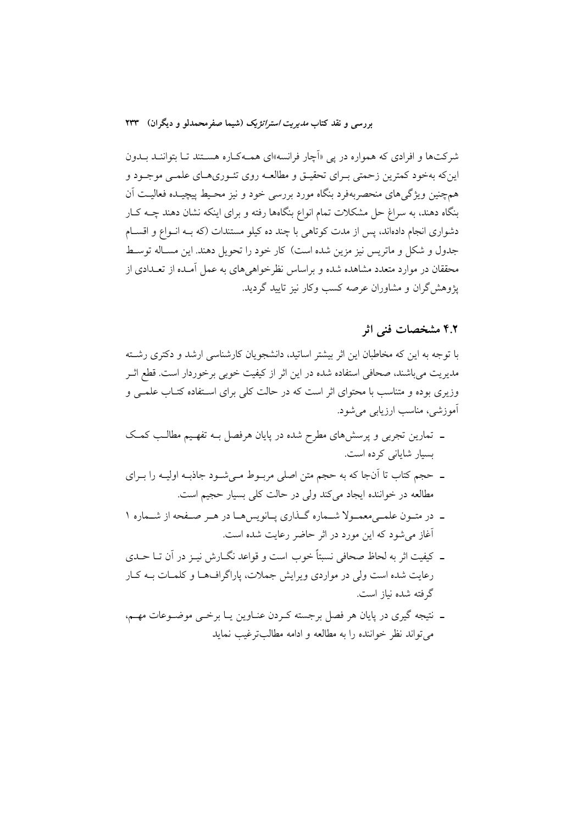شرکتها و افرادی که همواره در پی «اَچار فرانسه»ای همـهکـاره هسـتند تـا بتواننـد بــدون این که بهخود کمترین زحمتی بـرای تحقیـق و مطالعـه روی تئـوریهـای علمـی موجـود و همچنین ویژگیهای منحصربهفرد بنگاه مورد بررسی خود و نیز محـیط پیچیـده فعالیــت اَن بنگاه دهند، به سراغ حل مشکلات تمام انواع بنگاهها رفته و برای اینکه نشان دهند چــه کــار دشواري انجام دادهاند، پس از مدت كوتاهي با چند ده كيلو مستندات (كه بـه انـواع و اقسـام جدول و شکل و ماتریس نیز مزین شده است) کار خود را تحویل دهند. این مسـاله توسـط محققان در موارد متعدد مشاهده شده و براساس نظرخواهیهای به عمل آمـده از تعـدادی از یژوهش گران و مشاوران عرصه کسب و کار نیز تابید گردید.

## ۴.۲ مشخصات فنی اثر

با توجه به این که مخاطبان این اثر بیشتر اساتید، دانشجویان کارشناسی ارشد و دکتری رشته مديريت مي باشند، صحافي استفاده شده در اين اثر از كيفيت خوبي برخوردار است. قطع اثـر وزیری بوده و متناسب با محتوای اثر است که در حالت کلی برای استفاده کتـاب علمـی و آموزشي، مناسب ارزيابي مي شود.

- ـ تمارین تجربی و پرسشهای مطرح شده در پایان هرفصل بـه تفهـیم مطالـب کمـک بسیار شایانی کرده است.
- ۔ حجم کتاب تا اُنجا که به حجم متن اصلی مربـوط مـیشـود جاذبـه اولیـه را بـرای مطالعه در خواننده ایجاد میکند ولی در حالت کلی بسیار حجیم است.
- ـ در متـون علمـىمعمـولا شـماره گـذارى يـانويس هـا در هـر صـفحه از شـماره ١ آغاز می شود که این مورد در اثر حاضر رعایت شده است.
- ۔ کیفیت اثر به لحاظ صحافی نسبتاً خوب است و قواعد نگــارش نیــز در آن تــا حــدی رعایت شده است ولی در مواردی ویرایش جملات، پاراگرافهـا و کلمـات بــه کـار گرفته شده نیاز است.
- ـ نتيجه گيري در پايان هر فصل برجسته كـردن عنــاوين يــا برخــي موضــوعات مهــم، مي تواند نظر خواننده را به مطالعه و ادامه مطالب ترغب نمايد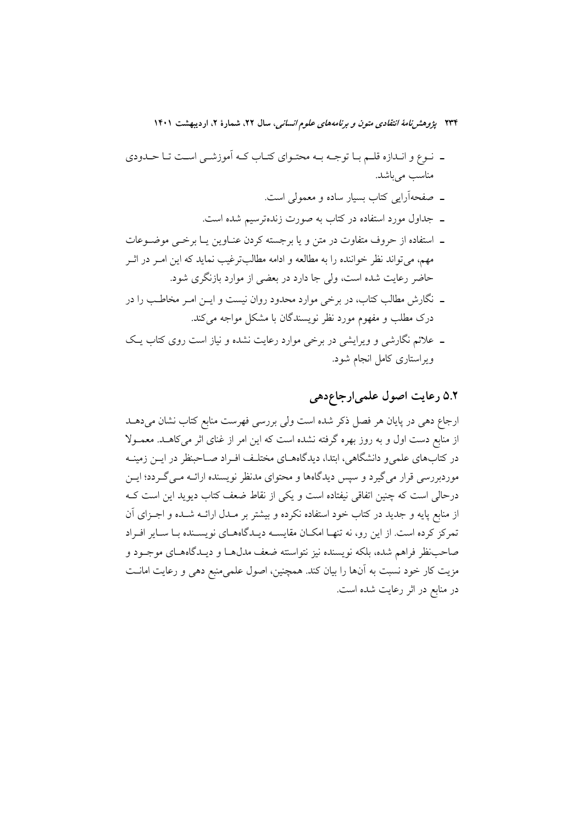- ـ نوع و انـدازه قلـم بـا توجـه بـه محتـواي كتـاب كـه أموزشـي اسـت تـا حـدودي مناسب می باشد.
	- ۔ صفحهآرایی کتاب بسیار ساده و معمولی است.
	- ـ جداول مورد استفاده در کتاب به صورت زندهترسیم شده است.
- ـ استفاده از حروف متفاوت در متن و يا برجسته كردن عنـاوين يـا برخـى موضـوعات مهم، میتواند نظر خواننده را به مطالعه و ادامه مطالبترغیب نماید که این امـر در اثــر حاضر رعایت شده است، ولی جا دارد در بعضی از موارد بازنگری شود.
- ــ نگارش مطالب کتاب، در برخی موارد محدود روان نیست و ایـــن امــر مخاطــب را در درک مطلب و مفهوم مورد نظر نویسندگان با مشکل مواجه میکند.
- ـ علائم نگارشی و ویرایشی در برخی موارد رعایت نشده و نیاز است روی کتاب یـک ویراستاری کامل انجام شود.

# ٥.٢ رعايت اصول علمي ارجاع دهي

ارجاع دهی در پایان هر فصل ذکر شده است ولی بررسی فهرست منابع کتاب نشان میدهـد از منابع دست اول و به روز بهره گرفته نشده است که این امر از غنای اثر میکاهـد. معمـولا در کتابهای علمی و دانشگاهی، ابتدا، دیدگاههـای مختلـف افـراد صـاحبنظر در ایــن زمینــه موردبررسی قرار می گیرد و سیس دیدگاهها و محتوای مدنظر نویسنده ارائــه مــی گــردد؛ ایــن درحالی است که چنین اتفاقی نیفتاده است و یکی از نقاط ضعف کتاب دیوید این است ک از منابع پایه و جدید در کتاب خود استفاده نکرده و بیشتر بر مـدل ارائــه شـده و اجــزای آن تمرکز کرده است. از این رو، نه تنهـا امکـان مقایسـه دیـدگاههـای نویسـنده بـا سـایر افـراد صاحب نظر فراهم شده، بلکه نویسنده نیز نتواسنته ضعف مدل۵ا و دیـدگاههــای موجــود و مزیت کار خود نسبت به أنها را بیان کند. همچنین، اصول علمیمنبع دهی و رعایت امانــت در منابع در اثر رعایت شده است.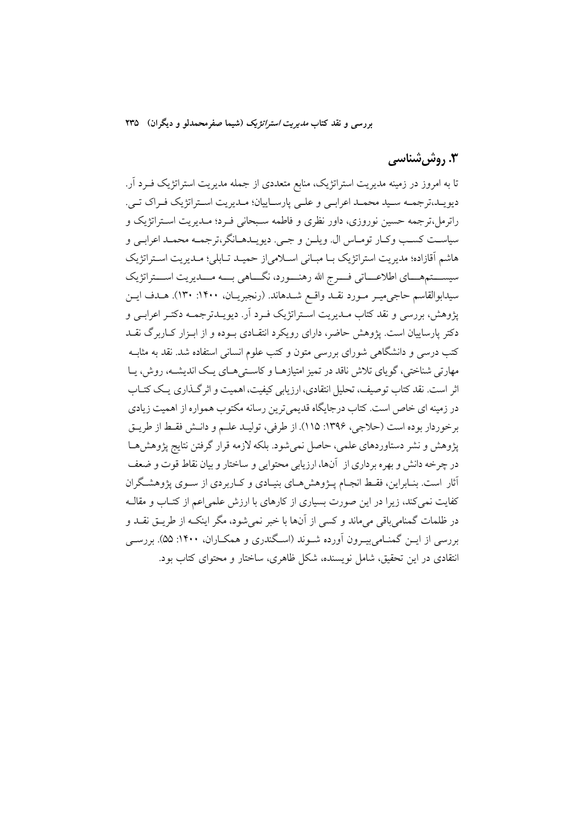# ۳. روش شناسی

تا به امروز در زمینه مدیریت استراتژیک، منابع متعددی از جمله مدیریت استراتژیک فـرد آر. دیویـد،ترجمـه سـید محمـد اعرابـي و علـي پارسـاییان؛ مـدیریت اسـتراتژیک فـراک تـي. راترمل،ترجمه حسین نوروزی، داور نظری و فاطمه سـبحانی فـرد؛ مـدیریت اسـتراتژیک و سياسـت كسـب وكـار تومـاس ال. ويلــن و جــي. ديويــدهــانگر،ترجمــه محمــد اعرابــي و هاشم اَقازاده؛ مدیریت استراتژیک بـا مبـانی اسـلامی(ز حمیـد تـابلی؛ مـدیریت اسـتراتژیک سیســـتمهــــای اطلاعــــاتی فــــرج الله رهنــــورد، نگــــاهی بــــه مــــدیریت اســــتراتژیک سيدابوالقاسم حاجي ميـر مـورد نقـد واقـع شـدهاند. (رنجبريـان، ١۴٠٠: ١٣٠). هـدف ايـن پژوهش، بررسی و نقد کتاب مـديريت اسـتراتژيک فـرد اَر. ديويـدترجمـه دکتـر اعرابـی و دکتر پارساییان است. پژوهش حاضر، دارای رویکرد انتقـادی بـوده و از ابـزار کـاربرگ نقــد کتب درسی و دانشگاهی شورای بررسی متون و کتب علوم انسانی استفاده شد. نقد به مثابــه مهارتی شناختی، گوپای تلاش ناقد در تمیز امتیازهـا و کاسـتیمـای یـک اندیشـه، روش، پـا اثر است. نقد کتاب توصیف، تحلیل انتقادی، ارزیابی کیفیت، اهمیت و اثر گـذاری یـک کتـاب در زمینه ای خاص است. کتاب درجایگاه قدیمی ترین رسانه مکتوب همواره از اهمیت زیادی برخوردار بوده است (حلاجي، ١٣٩۶: ١١٥). از طرفي، توليـد علـم و دانـش فقـط از طريـق يژوهش و نشر دستاوردهاي علمي، حاصل نمي شود. بلكه لازمه قرار گرفتن نتايج يژوهش هـا در چرخه دانش و بهره برداري از آنها، ارزيابي محتوايي و ساختار و بيان نقاط قوت و ضعف أثار است. بنـابراین، فقـط انجـام پــژوهش هـای بنیـادی و کــاربردی از ســوی پژوهشـگران کفایت نمی کند، زیرا در این صورت بسیاری از کارهای با ارزش علمی اعم از کتـاب و مقالـه در ظلمات گمنامی باقی می،ماند و کسی از آنها با خبر نمی شود، مگر اینکـه از طریــق نقــد و بررسی از ایــن گمنــامی بیــرون آورده شــوند (اســگندری و همکــاران، ۱۴۰۰: ۵۵). بررســی انتقادی در این تحقیق، شامل نویسنده، شکل ظاهری، ساختار و محتوای کتاب بود.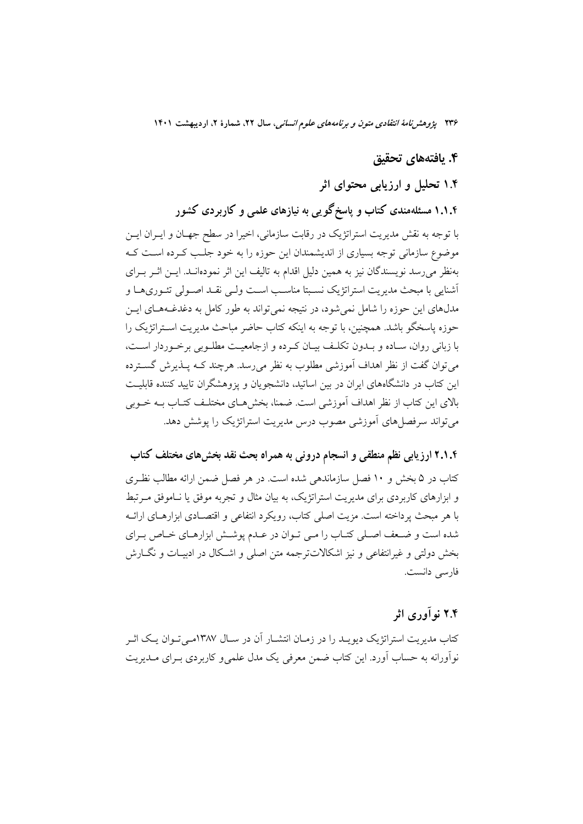۲۳۶ پژوهشرن*امهٔ انتقادی متون و برنامههای علوم انسانی،* سال ۲۲، شمارهٔ ۲، اردیبهشت ۱۴۰۱

## ۴. يافتەهاي تحقيق

## ۱.۴ تحلیل و ارزیابی محتوای اثر

۱.۱.۴ مسئلهمندی کتاب و پاسخگو پی به نیازهای علمی و کاربردی کشور با توجه به نقش مديريت استراتژيک در رقابت سازماني، اخيرا در سطح جهـان و ايـران ايـن موضوع سازمانی توجه بسیاری از اندیشمندان این حوزه را به خود جلب کـرده اسـت کـه بهنظر می رسد نویسندگان نیز به همین دلیل اقدام به تالیف این اثر نمودهانـد. ایــن اثــر بــرای أشنايي با مبحث مديريت استراتژيک نسـبتا مناسـب اسـت ولـي نقـد اصـولي تئـوريهـا و مدلهای این حوزه را شامل نمی شود، در نتیجه نمی تواند به طور کامل به دغدغــههــای ایــن حوزه پاسخگو باشد. همچنین، با توجه به اینکه کتاب حاضر مباحث مدیریت اسـتراتژیک را با زبانی روان، سـاده و بـدون تكلـف بيـان كـرده و ازجامعيـت مطلـوبی برخـوردار اسـت، می توان گفت از نظر اهداف آموزشی مطلوب به نظر می رسد. هرچند کـه پــذیرش گســترده این کتاب در دانشگاههای ایران در بین اساتید، دانشجویان و یزوهشگران تایید کننده قابلیت بالای این کتاب از نظر اهداف آموزشی است. ضمنا، بخش هـای مختلـف کتـاب بـه خـوبی می تواند سرفصا های آموزشی مصوب درس مدیریت استراتژیک را پوشش دهد.

# ۲.۱.۴ ارزیابی نظم منطقی و انسجام درونی به همراه بحث نقد بخشهای مختلف کتاب

کتاب در ۵ بخش و ۱۰ فصل سازماندهی شده است. در هر فصل ضمن ارائه مطالب نظـری و ابزارهای کاربردی برای مدیریت استراتژیک، به بیان مثال و تجربه موفق یا نـاموفق مـرتبط با هر مبحث پرداخته است. مزیت اصلی کتاب، رویکرد انتفاعی و اقتصـادی ابزارهـای ارائــه شده است و ضعف اصلی کتـاب را مـی تـوان در عـدم پوشــش ابزارهـای خـاص بـرای بخش دولتی و غیرانتفاعی و نیز اشکالاتتر جمه متن اصلی و اشکال در ادیسات و نگبارش فارسي دانست.

# ۲.۴ نوآوری اثر

کتاب مدیریت استراتژیک دیویـد را در زمـان انتشـار آن در سـال ۱۳۸۷مـی تـوان یـک اثـر نواًورانه به حساب اَورد. این کتاب ضمن معرفی یک مدل علمی و کاربردی بـرای مــدیریت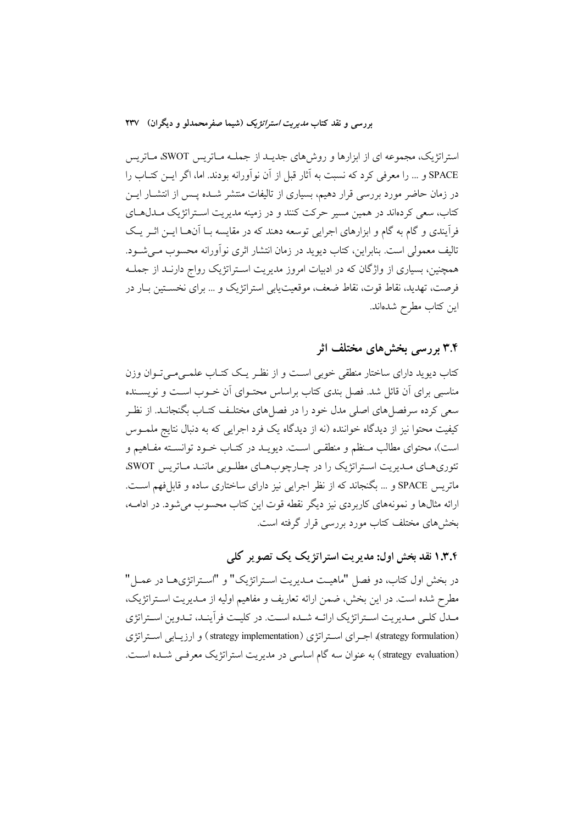استراتژیک، مجموعه ای از ابزارها و روش های جدیـد از جملـه مـاتریس SWOT، مـاتریس SPACE و … را معرفی کرد که نسبت به آثار قبل از آن نوآورانه بودند. اما، اگر ایـــن کتــاب را در زمان حاضر مورد بررسی قرار دهیم، بسیاری از تالیفات منتشر شـده پـس از انتشـار ایــن کتاب، سعی کردهاند در همین مسیر حرکت کنند و در زمینه مدیریت استراتژیک مـدلهـای فرآیندی و گام به گام و ابزارهای اجرایی توسعه دهند که در مقایسه بـا آنهـا ایــن اثــر یــک تاليف معمولي است. بنابراين، كتاب ديويد در زمان انتشار اثري نوآورانه محسوب مـي شـود. همچنین، بسیاری از واژگان که در ادبیات امروز مدیریت استراتژیک رواج دارنـد از جملـه فرصت، تهدید، نقاط قوت، نقاط ضعف، موقعیتپایی استراتژیک و … برای نخستین بـار در اين كتاب مطرح شدهاند.

## ۳.۴ بررسے بخش های مختلف اثر

کتاب دیوید دارای ساختار منطقی خوبی است و از نظـر یـک کتـاب علمـی مـی تـوان وزن مناسبی برای آن قائل شد. فصل بندی کتاب براساس محتـوای آن خـوب اسـت و نویسـنده سعی کرده سرفصل های اصلی مدل خود را در فصل های مختلـف کتـاب بگنجانـد. از نظـر کیفیت محتوا نیز از دیدگاه خواننده (نه از دیدگاه یک فرد اجرایی که به دنبال نتایج ملمــوس است)، محتواي مطالب مـنظم و منطقـي اسـت. ديويــد در كتــاب خــود توانسـته مفــاهيم و تئوري هاي مديريت استراتژيک را در چارچوب هاي مطلوبي مانند ماتريس SWOT، ماتریس SPACE و … بگنجاند که از نظر اجرایی نیز دارای ساختاری ساده و قابلفهم است. ارائه مثالها و نمونههای کاربردی نیز دیگر نقطه قوت این کتاب محسوب می شود. در ادامــه، بخشهای مختلف کتاب مورد بررسی قرار گرفته است.

# ۱.۳.۴ نقد بخش اول: مدیریت استراتژیک یک تصویر کلم

در بخش اول کتاب، دو فصل "ماهیـت مـدیریت اسـتراتژیک" و "اسـتراتژیهـا در عمـل" مطرح شده است. در این بخش، ضمن ارائه تعاریف و مفاهیم اولیه از مـدیریت اسـتراتژیک، مـدل كلـي مـديريت اسـتراتژيک ارائــه شـده اسـت. در كليـت فرآينـد، تـدوين اسـتراتژي (strategy formulation)، اجرای استراتژی (strategy implementation) و ارزیبابی استراتژی (strategy evaluation) به عنوان سه گام اساسی در مدیریت استراتژیک معرفی شده است.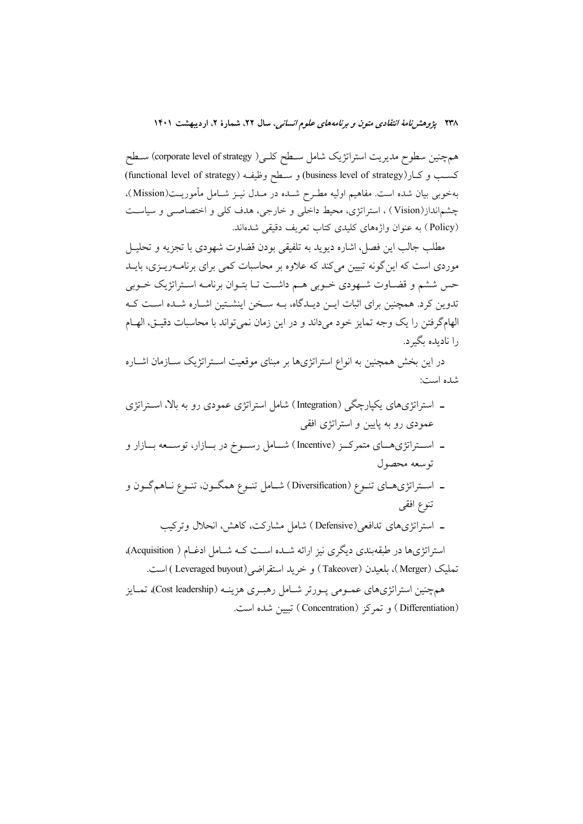همچنین سطوح مدیریت استراتژیک شامل سـطح کلـی( corporate level of strategy) سـطح كسب وكار(business level of strategy) و ســطح وظيفـه (functional level of strategy) بهخوبي بيان شده است. مفاهيم اوليه مطـرح شـده در مـدل نيـز شـامل مأموريـت(Mission)، چشم|نداز(Vision) ، استراتژی، محیط داخلی و خارجی، هدف کلی و اختصاصبی و سیاست (Policy) به عنوان واژههای کلیدی کتاب تعریف دقیقی شدهاند.

مطلب جالب اين فصل، اشاره ديويد به تلفيقي بودن قضاوت شهودي با تجزيه و تحليـل موردی است که این گونه تبیین میکند که علاوه بر محاسبات کمی برای برنامــهریــزی، بایــد حس ششم و قضـاوت شـهودي خـوبي هـم داشـت تـا بتـوان برنامـه اسـتراتژيک خـوبي تدوین کرد. همچنین برای اثبات ایــن دیــدگاه، بــه ســخن اینشــتین اشــاره شــده اســت کــه الهامگرفتن را يک وجه تمايز خود مىداند و در اين زمان نمى تواند با محاسبات دقيـق، الهــام را نادىدە ىگىرد.

در این بخش همچنین به انواع استراتژیها بر مبنای موقعیت اسـتراتژیک ســازمان اشــاره شده است:

- ـ استراتژیهای یکپارچگی (Integration) شامل استراتژی عمودی رو به بالا، استراتژی عمودی رو به پایین و استراتژی افقی
- ـ اســتراتژی،هــای متمرکــز (Incentive) شــامل رســوخ در بــازار، توســعه بــازار و توسعه محصول
- ـ اســتراتژىهــاى تنــوع (Diversification) شــامل تنــوع همگــون، تنــوع نــاهمگــون و تنوع افقى
	- ـ استراتژیهای تدافعی(Defensive) شامل مشارکت، کاهش، انحلال وترکیب

استراتژیها در طبقهبندی دیگری نیز ارائه شـده اسـت کـه شـامل ادغـام ( Acquisition)، تمليك (Merger)، بلعيدن (Takeover) و خريد استقراضي(Leveraged buyout ) است.

همچنین استراتژیهای عمـومی پـورتر شـامل رهبـری هزینـه (Cost leadership)، تمـایز (Differentiation) و تمركز (Concentration) تبيين شده است.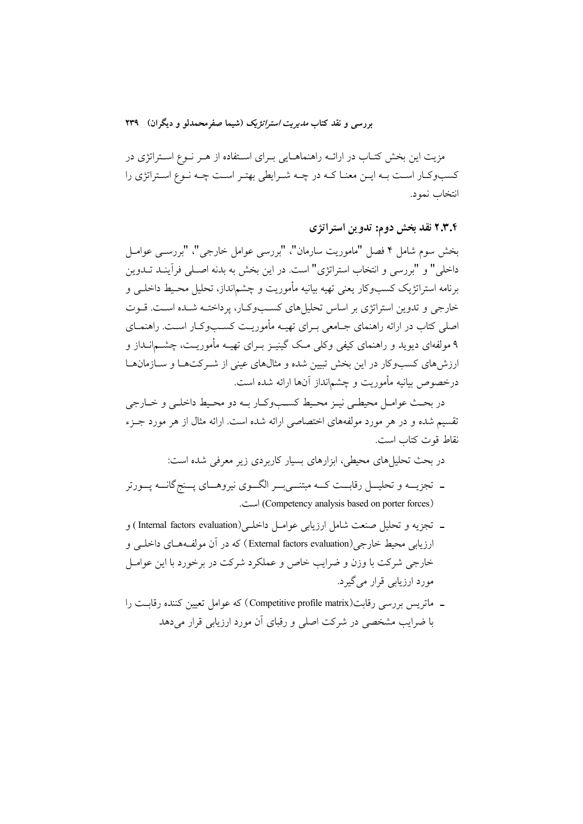مزیت این بخش کتـاب در ارائــه راهنماهـایی بـرای اسـتفاده از هـر نــوع اسـتراتژی در کسبوکار است بـه ايــن معنــا کــه در چــه شــرايطي بهتـر اسـت چــه نــوع اســتراتژي را انتخاب نمود.

۲.۳.۴ نقد بخش دوم: تدوين استراتژى

بخش سوم شامل ۴ فصل "ماموریت سارمان"، "بررسی عوامل خارجی"، "بررســی عوامــل داخلي" و "بررسي و انتخاب استراتژي" است. در اين بخش به بدنه اصـلي فرأينـد تــدوين برنامه استراتژیک کسبوکار یعنی تهیه بیانیه مأموریت و چشم|نداز، تحلیل محـیط داخلــی و خارجی و تدوین استراتژی بر اساس تحلیل های کسبوکار، پرداختـه شـده اسـت. قـوت اصلی کتاب در ارائه راهنمای جـامعی بـرای تهیـه مأموریـت کسـبوکـار اسـت. راهنمـای ۹ مولفهای دیوید و راهنمای کیفی وکلی مک گینیـز بـرای تهیــه مأموریــت، چشــمانــداز و ارزشهای کسبوکار در این بخش تبیین شده و مثالهای عینی از شـرکتهـا و سـازمانهـا درخصوص بيانيه مأموريت و چشم|نداز آنها ارائه شده است.

در بحث عوامـل محيطـي نيـز محـيط كسـبوكـار بـه دو محـيط داخلـي و خـارجي تقسیم شده و در هر مورد مولفههای اختصاصی ارائه شده است. ارائه مثال از هر مورد جـزء نقاط قوت كتاب است.

در بحث تحلیلهای محیطی، ابزارهای بسیار کاربردی زیر معرفی شده است:

- ـ تجزیـــه و تحلیـــل رقابـــت کـــه مبتنـــیبـــر الگـــوی نیروهـــای پـــنجگانـــه پـــورتر (Competency analysis based on porter forces) است.
- ـ تجزيه و تحليل صنعت شامل ارزيابي عوامـل داخلـي(Internal factors evaluation) و ارزيايي محيط خارجي (External factors evaluation) که در آن مولف4هاي داخلي و خارجی شرکت با وزن و ضرایب خاص و عملکرد شرکت در برخورد با این عوامــل مورد ارزیابی قرار میگیرد.
- ـ ماتریس بررسی رقابت(Competitive profile matrix) که عوامل تعیین کننده رقابت را با ضرایب مشخصی در شرکت اصلی و رقبای آن مورد ارزیابی قرار میدهد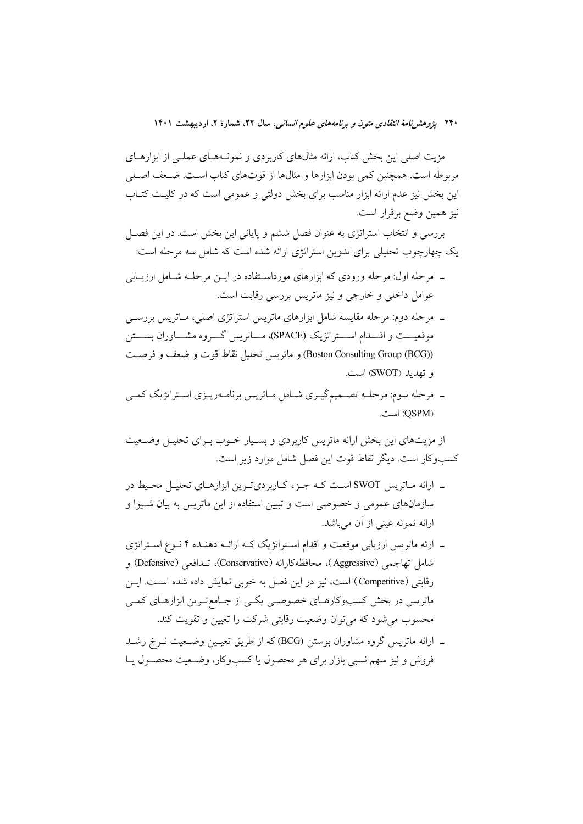۲۴۰ پژ*وهش نامهٔ انتقادی متون و برنامههای علوم انسانی،* سال ۲۲، شمارهٔ ۲، اردیبهشت ۱۴۰۱

مزیت اصلی این بخش کتاب، ارائه مثالهای کاربردی و نمونـههـای عملـی از ابزارهـای مربوطه است. همچنین کمی بودن ابزارها و مثالها از قوتهای کتاب است. ضـعف اصـلی این بخش نیز عدم ارائه ابزار مناسب برای بخش دولتی و عمومی است که در کلیت کتـاب نيز همين وضع برقرار است.

بررسی و انتخاب استراتژی به عنوان فصل ششم و پایانی این بخش است. در این فصـل یک چهارچوب تحلیلی برای تدوین استراتژی ارائه شده است که شامل سه مرحله است:

- ــ مرحله اول: مرحله ورودي كه ابزارهاي مورداسـتفاده در ايــن مرحلــه شــامل ارزيــابي عوامل داخلی و خارجی و نیز ماتریس بررسی رقابت است.
- ـ مرحله دوم: مرحله مقایسه شامل ابزارهای ماتریس استراتژی اصلی، مـاتریس بررســی موقعیـــت و اقــــدام اســــتراتژیک (SPACE)، مـــاتریس گــــروه مشــــاوران بســــتن (Boston Consulting Group (BCG)) و ماتريس تحليل نقاط قوت و ضعف و فرصت و تهديد (SWOT) است.
- ۔ مرحله سوم: مرحلــه تصــمیمگیــری شــامل مــاتریس برنامــهریــزی اســتراتژیک کمــی (QSPM) است.

از مزیتهای این بخش ارائه ماتریس کاربردی و بسـیار خــوب بــرای تحلیــل وضــعیت كسبوكار است. ديگر نقاط قوت اين فصل شامل موارد زير است.

- ـ ارائه مـاتريس SWOT اسـت كـه جـزء كـاربرديتـرين ابزارهـاي تحليـل محـيط در سازمانهای عمومی و خصوصی است و تبیین استفاده از این ماتریس به بیان شـیوا و ارائه نمونه عيني از آن ميباشد.
- ـ ارئه ماتريس ارزيابي موقعيت و اقدام استراتژيک کـه ارائـه دهنـده ۴ نـوع اسـتراتژي شامل تهاجمي (Aggressive)، محافظهكارانه (Conservative)، تــدافعي (Defensive) و رقابتی (Competitive) است، نیز در این فصل به خوبی نمایش داده شده است. این ماتریس در بخش کسبوکارهـای خصوصـی یکـی از جـامعتـرین ابزارهـای کمـی محسوب می شود که می توان وضعیت رقابتی شرکت را تعیین و تقویت کند.
- ـ ارائه ماتریس گروه مشاوران بوستن (BCG) که از طریق تعیـین وضـعیت نـرخ رشـد فروش و نیز سهم نسبی بازار برای هر محصول یا کسبوکار، وضـعیت محصـول یــا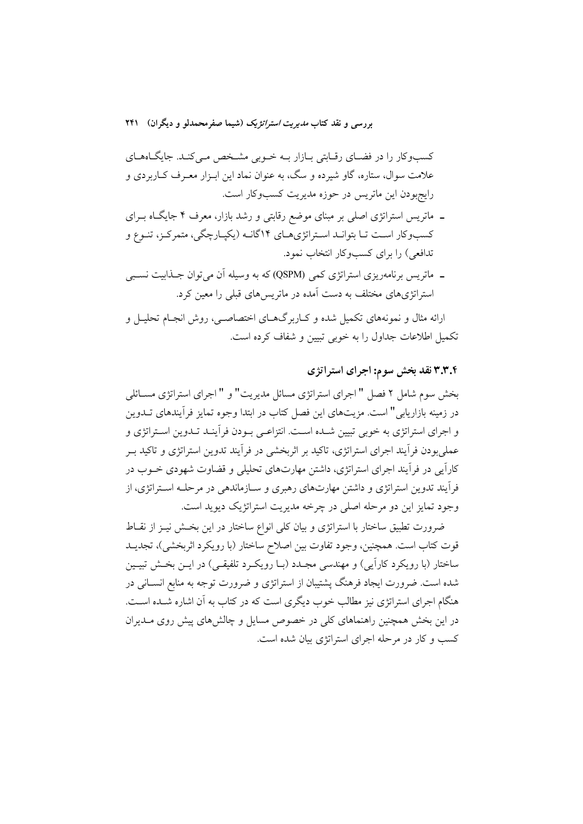کسبوکار را در فضـای رقـابتی بـازار بـه خـوبی مشـخص مـیکنـد. جایگـاههـای علامت سوال، ستاره، گاو شیرده و سگ، به عنوان نماد این ابـزار معـرف کــاربردی و رايجبودن اين ماتريس در حوزه مديريت كسبوكار است.

- ـ ماتریس استراتژی اصلی بر مبنای موضع رقابتی و رشد بازار، معرف ۴ جایگاه بـرای کسبوکار است تـا بتوانـد اسـتراتژي١٤ کا٢گانـه (يکپـارچگي، متمرکـز، تنـوع و تدافعي) را براي كسبوكار انتخاب نمود.
- ــ ماتریس برنامهریزی استراتژی کمی (QSPM) که به وسیله آن میتوان جــذابیت نســبی استراتژیهای مختلف به دست آمده در ماتریسهای قبل<sub>ی</sub> را معین کرد.

ارائه مثال و نمونههای تکمیل شده و کــاربر گـهــای اختصاصــی، روش انجــام تحليــل و تکمیل اطلاعات جداول را به خوبی تسن و شفاف کرده است.

### ۳.۳.۴ نقد بخش سوم: اجرای استراتژی

بخش سوم شامل ٢ فصل " اجراي استراتژي مسائل مديريت" و " اجراي استراتژي مســائلي در زمینه بازاریابی" است. مزیتهای این فصل کتاب در ابتدا وجوه تمایز فرآیندهای تــدوین و اجرای استراتژی به خوبی تبیین شـده اسـت. انتزاعـی بـودن فرآینـد تـدوین اسـتراتژی و عملیبودن فرآیند اجرای استراتژی، تاکید بر اثربخشی در فرآیند تدوین استراتژی و تاکید بـر کاراًیی در فراّیند اجرای استراتژی، داشتن مهارتهای تحلیلی و قضاوت شهودی خــوب در فرآیند تدوین استراتژی و داشتن مهارتهای رهبری و سـازماندهی در مرحلـه اسـتراتژی، از وجود تمایز این دو مرحله اصلی در چرخه مدیریت استراتژیک دیوید است.

ضرورت تطبیق ساختار با استراتژی و بیان کلی انواع ساختار در این بخش نیـز از نقـاط قوت کتاب است. همچنین، وجود تفاوت بین اصلاح ساختار (با رویکرد اثربخشی)، تجدیــد ساختار (با رویکرد کاراًیی) و مهندسی مجـدد (بـا رویکـرد تلفیقـی) در ایــن بخـش تبیــین شده است. ضرورت ایجاد فرهنگ پشتیبان از استراتژی و ضرورت توجه به منابع انســانی در هنگام اجرای استراتژی نیز مطالب خوب دیگری است که در کتاب به آن اشاره شــده اســت. در این بخش همچنین راهنماهای کلی در خصوص مسایل و چالشهای پیش روی مــدیران کسب و کار در مرحله اجرای استراتژی بیان شده است.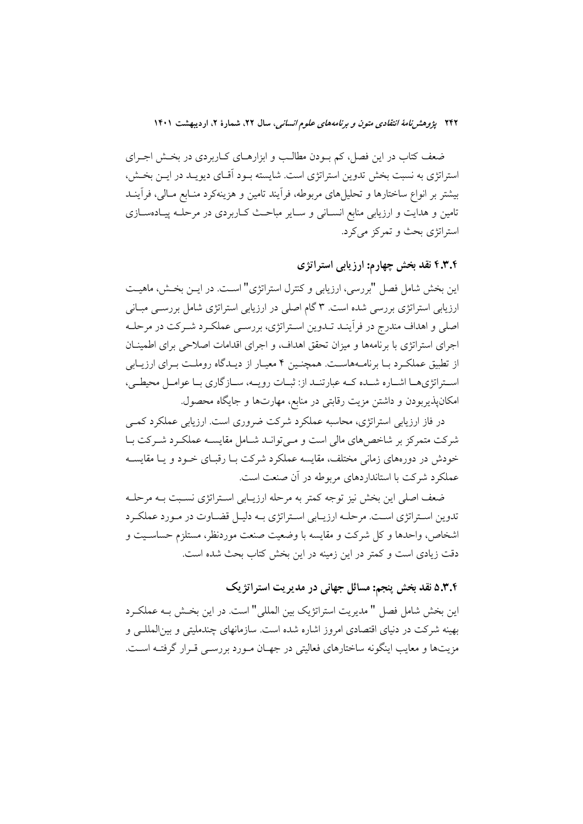ضعف کتاب در این فصل، کم بـودن مطالـب و ابزارهـای کـاربردی در بخـش اجـرای استراتژی به نسبت بخش تدوین استراتژی است. شایسته بود آقیای دیویید در این بخش، بیشتر بر انواع ساختارها و تحلیلهای مربوطه، فراّیند تامین و هزینهکرد منـابع مـالی، فراّینــد تامین و هدایت و ارزیابی منابع انسـانی و سـایر مباحـث كـاربردی در مرحلـه پیـادهسـازی استراتژی بحث و تمرکز می کرد.

۴.۳.۴ نقد بخش چهارم: ارزیابی استراتژی

این بخش شامل فصل "بررسی، ارزیابی و کنترل استراتژی" است. در ایـن بخـش، ماهیـت ارزیابی استراتژی بررسی شده است. ۳ گام اصلی در ارزیابی استراتژی شامل بررســی مبــانی اصلی و اهداف مندرج در فرآینـد تـدوین اسـتراتژی، بررسـی عملکـرد شـرکت در مرحلـه اجرای استراتژی با برنامهها و میزان تحقق اهداف، و اجرای اقدامات اصلاحی برای اطمینــان از تطبیق عملکرد بـا برنامـههاسـت. همچنـین ۴ معیـار از دیـدگاه روملـت بـرای ارزیـابی استراتژیها اشـاره شـده کـه عبارتنـد از: ثبـات رویـه، سـازگاری بـا عوامـل محیطـی، امکانپذیربودن و داشتن مزیت رقابتی در منابع، مهارتها و جایگاه محصول.

در فاز ارزیابی استراتژی، محاسبه عملکرد شرکت ضروری است. ارزیابی عملکرد کمبی شرکت متمرکز بر شاخصهای مالی است و می توانـد شـامل مقایسـه عملکـرد شـرکت بـا خودش در دورههای زمانی مختلف، مقایسه عملکرد شرکت بـا رقبـای خــود و یـا مقایســه عملکرد شرکت با استانداردهای مربوطه در آن صنعت است.

ضعف اصلی این بخش نیز توجه کمتر به مرحله ارزیـابی اسـتراتژی نسـبت بـه مرحلـه تدوین استراتژی است. مرحلـه ارزیـابی اسـتراتژی بـه دلیـل قضـاوت در مـورد عملكـرد اشخاص، وإحدها و كل شركت و مقايسه با وضعيت صنعت موردنظر، مستلزم حساسـيت و دقت زیادی است و کمتر در این زمینه در این بخش کتاب بحث شده است.

# ۵.۳.۴ نقد بخش پنجم: مسائل جهانی در مدیریت استراتژیک

اين بخش شامل فصل " مديريت استراتژيک بين المللي" است. در اين بخـش بـه عملكـرد بهینه شرکت در دنیای اقتصادی امروز اشاره شده است. سازمانهای چندملیتی و بین|لمللـی و مزیتها و معایب اینگونه ساختارهای فعالیتی در جهـان مـورد بررســی قـرار گرفتــه اســت.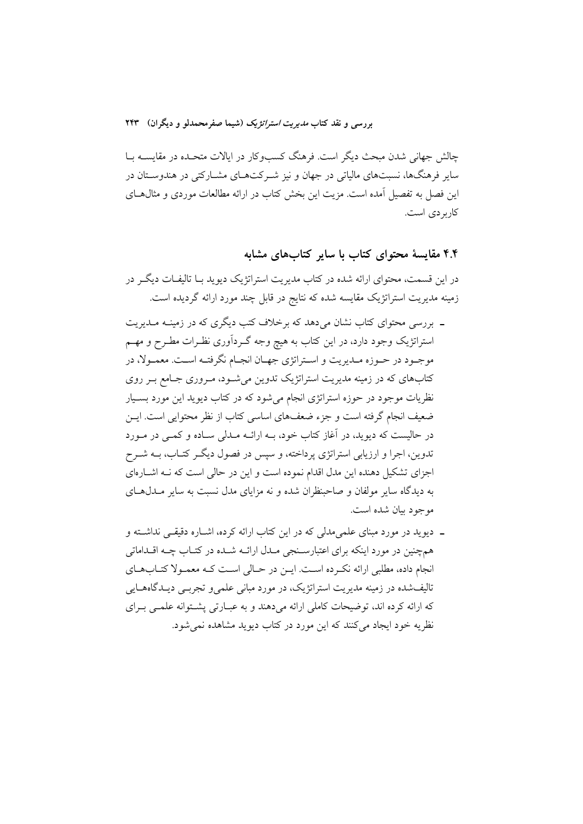چالش جهانی شدن مبحث دیگر است. فرهنگ کسبوکار در ایالات متحـده در مقایســه بــا سایر فرهنگها، نسبتهای مالیاتی در جهان و نیز شـرکتهـای مشــارکتی در هندوســتان در این فصل به تفصیل آمده است. مزیت این بخش کتاب در ارائه مطالعات موردی و مثال هـای كاربر دى است.

# ۴.۴ مقایسهٔ محتوای کتاب با سایر کتابهای مشابه

در این قسمت، محتوای ارائه شده در کتاب مدیریت استراتژیک دیوید بــا تالیفــات دیگــر در زمینه مدیریت استراتژیک مقایسه شده که نتایج در قابل چند مورد ارائه گردیده است.

- ـ بررسی محتوای کتاب نشان می دهد که برخلاف کتب دیگری که در زمینــه مــدیریت استراتژیک وجود دارد، در این کتاب به هیچ وجه گـردآوری نظـرات مطـرح و مهــم موجـود در حـوزه مـديريت و اسـتراتژي جهـان انجـام نگرفتـه اسـت. معمـولا، در کتابهای که در زمینه مدیریت استراتژیک تدوین می شـود، مـروری جـامع بـر روی نظریات موجود در حوزه استراتژی انجام میشود که در کتاب دیوید این مورد بسـیار ضعیف انجام گرفته است و جزء ضعفهای اساسی کتاب از نظر محتوایی است. ایــن در حالیست که دیوید، در آغاز کتاب خود، بـه ارائــه مــدلی ســاده و کمــی در مــورد تدوین، اجرا و ارزیابی استراتژی پرداخته، و سپس در فصول دیگـر کتـاب، بــه شــرح اجزای تشکیل دهنده این مدل اقدام نموده است و این در حالی است که نـه اشـارهای به دیدگاه سایر مولفان و صاحبنظران شده و نه مزایای مدل نسبت به سایر مـدلهـای موجود بيان شده است.
- ـ دیوید در مورد مبنای علمیمدلی که در این کتاب ارائه کرده، اشـاره دقیقـی نداشـته و همچنین در مورد اینکه برای اعتبارسـنجی مـدل ارائــه شـده در کتــاب چــه اقــداماتی انجام داده، مطلبی ارائه نکرده است. ایـن در حـالی اسـت کـه معمـولا کتـابهـای .<br>تالیفشده در زمینه مدیریت استراتژیک، در مورد مبانی علمی و تجربــی دیــدگاههــایی که ارائه کرده اند، توضیحات کاملی ارائه میدهند و به عبـارتی پشـتوانه علمـی بـرای نظریه خود ایجاد می کنند که این مورد در کتاب دیوید مشاهده نمی شود.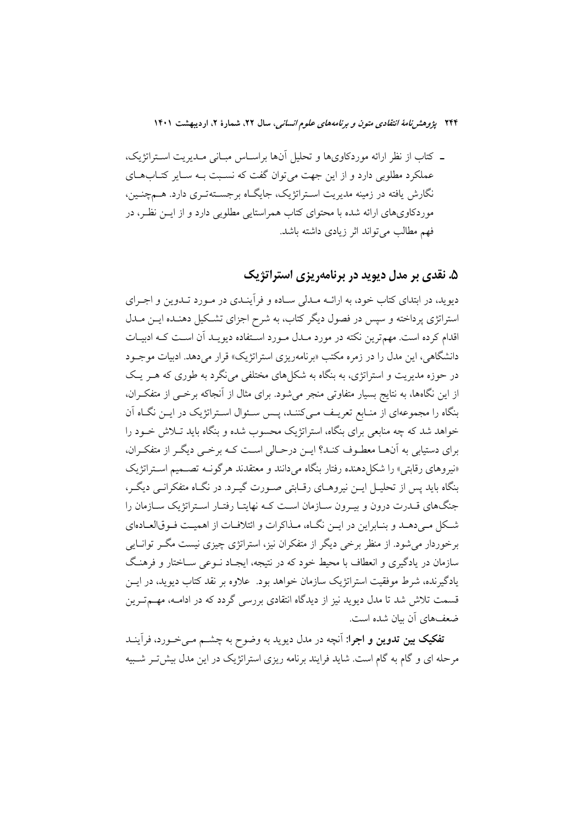۲۴۴ پژ*وهش نامهٔ انتقادی متون و برنامههای علوم انسانی،* سال ۲۲، شمارهٔ ۲، اردیبهشت ۱۴۰۱

ـ كتاب از نظر ارائه موردكاوىها و تحليل آنها براسـاس مبـانى مـديريت اسـتراتژيک، عملکرد مطلوبی دارد و از این جهت می توان گفت که نسبت بـه سـایر کتـابهـای نگارش یافته در زمینه مدیریت استراتژیک، جایگاه برجستهتری دارد. هـمچنـین، موردکاویهای ارائه شده با محتوای کتاب همراستایی مطلوبی دارد و از ایــن نظـر، در فهم مطالب مي تواند اثر زيادي داشته باشد.

## ۵. نقدی بر مدل دیوید در برنامهریزی استراتژیک

دیوید، در ابتدای کتاب خود، به ارائــه مــدلی ســاده و فرأینــدی در مــورد تــدوین و اجــرای استراتژی پرداخته و سپس در فصول دیگر کتاب، به شرح اجزای تشکیل دهنـده ایــن مــدل اقدام کرده است. مهمترین نکته در مورد مـدل مـورد اسـتفاده دیویـد آن اسـت کـه ادبیـات دانشگاهی، این مدل را در زمره مکتب «برنامهریزی استراتژیک» قرار میدهد. ادبیات موجـود در حوزه مدیریت و استراتژی، به بنگاه به شکلهای مختلفی می نگرد به طوری که هــر یــک از این نگاهها، به نتایج بسیار متفاوتی منجر می شود. برای مثال از آنجاکه برخــی از متفکـران، بنگاه را مجموعهای از منـابع تعریـف مـیکننـد، پـس سـئوال اسـتراتژیک در ایـن نگـاه آن خواهد شد که چه منابعی برای بنگاه، استراتژیک محسوب شده و بنگاه باید تـلاش خــود را برای دستیابی به آنهـا معطـوف کنـد؟ ایــن درحـالی اسـت کـه برخـی دیگـر از متفکـران، «نیروهای رقابتی» را شکا ٍدهنده رفتار بنگاه می دانند و معتقدند هرگونــه تصــمیم اســتراتژیک بنگاه باید پس از تحلیـل ایــن نیروهــای رقــابتی صــورت گیــرد. در نگــاه متفکرانــی دیگــر، جنگهای قـدرت درون و بیـرون سـازمان اسـت کـه نهایتـا رفتـار اسـتراتژیک سـازمان را شکل مبی دهـد و بنـابراین در ایــن نگــاه، مـذاکرات و ائتلافـات از اهمیــت فــوق|لعــادهای برخوردار می شود. از منظر برخی دیگر از متفکران نیز، استراتژی چیزی نیست مگــر توانــایی سازمان در یادگیری و انعطاف با محیط خود که در نتیجه، ایجـاد نــوعی ســاختار و فرهنـگ یادگیرنده، شرط موفقیت استراتژیک سازمان خواهد بود. علاوه بر نقد کتاب دیوید، در ایــن قسمت تلاش شد تا مدل دیوید نیز از دیدگاه انتقادی بررسی گردد که در ادامــه، مهــمتــرین ضعفهای آن سان شده است.

**تفکیک بین تدوین و اجرا**: آنچه در مدل دیوید به وضوح به چشــم مــیخــورد، فرآینــد مرحله ای و گام به گام است. شاید فرایند برنامه ریزی استراتژیک در این مدل بیش تـر شـبیه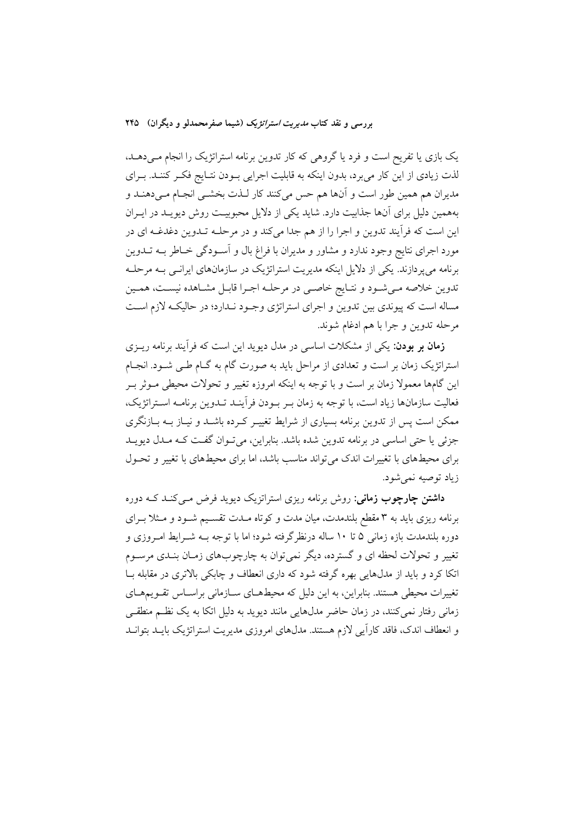یک بازی یا تفریح است و فرد یا گروهی که کار تدوین برنامه استراتژیک را انجام مـیدهــد، لذت زیادی از این کار می برد، بدون اینکه به قابلیت اجرایی بـودن نتـایج فکـر کننـد. بـرای مدیران هم همین طور است و آنها هم حس میکنند کار لـذت بخشـی انجـام مـی۵هنــد و بههمین دلیل برای آنها جذابیت دارد. شاید یکی از دلایل محبوبیـت روش دیویـد در ایــران این است که فرآیند تدوین و اجرا را از هم جدا میکند و در مرحلـه تـدوین دغدغـه ای در مورد اجرای نتایج وجود ندارد و مشاور و مدیران با فراغ بال و آسـودگی خـاطر بــه تــدوین برنامه میپردازند. یکی از دلایل اینکه مدیریت استراتژیک در سازمانهای ایرانـی بــه مرحلــه تدوین خلاصه مـیشـود و نتـایج خاصـی در مرحلـه اجـرا قابـل مشـاهده نیسـت، همـین مساله است که پیوندی بین تدوین و اجرای استراتژی وجـود نـدارد؛ در حالیکـه لازم اسـت مرحله تدوين وجرا با هم ادغام شوند.

**زمان بر بودن**: یکی از مشکلات اساسی در مدل دیوید این است که فرآیند برنامه ریــزی استراتژیک زمان بر است و تعدادی از مراحل باید به صورت گام به گـام طـی شـود. انجـام این گامها معمولا زمان بر است و با توجه به اینکه امروزه تغییر و تحولات محیطی مـوثر بـر فعالیت سازمانها زیاد است، با توجه به زمان بـر بـودن فرآینـد تـدوین برنامـه اسـتراتژیک، ممکن است پس از تدوین برنامه بسیاری از شرایط تغییـر کـرده باشـد و نیـاز بــه بــازنگری جزئي يا حتى اساسي در برنامه تدوين شده باشد. بنابراين، مي تـوان گفـت كـه مـدل ديويـد برای محیطهای با تغییرات اندک می تواند مناسب باشد، اما برای محیطهای با تغییر و تحـول زياد توصيه نمي شود.

**داشتن چارچوب زمانی**: روش برنامه ریزی استراتزیک دیوید فرض مبی کنـد کــه دوره برنامه ریزی باید به ۳ مقطع بلندمدت، میان مدت و کوتاه مـدت تقسـیم شـود و مـثلا بـرای دوره بلندمدت بازه زمانی ۵ تا ۱۰ ساله درنظرگرفته شود؛ اما با توجه بــه شــرایط امــروزی و تغییر و تحولات لحظه ای و گسترده، دیگر نمی توان به چارچوبهای زمـان بنـدی مرســوم اتکا کرد و باید از مدلهایی بهره گرفته شود که داری انعطاف و چابکی بالاتری در مقابله بــا تغییرات محیطی هستند. بنابراین، به این دلیل که محیطهـای ســازمانی براســاس تقــویـمهــای زمانی رفتار نمی کنند، در زمان حاضر مدلهایی مانند دیوید به دلیل اتکا به یک نظـم منطقـی و انعطاف اندک، فاقد کارآیی لازم هستند. مدلهای امروزی مدیریت استراتژیک بایـد بتوانـد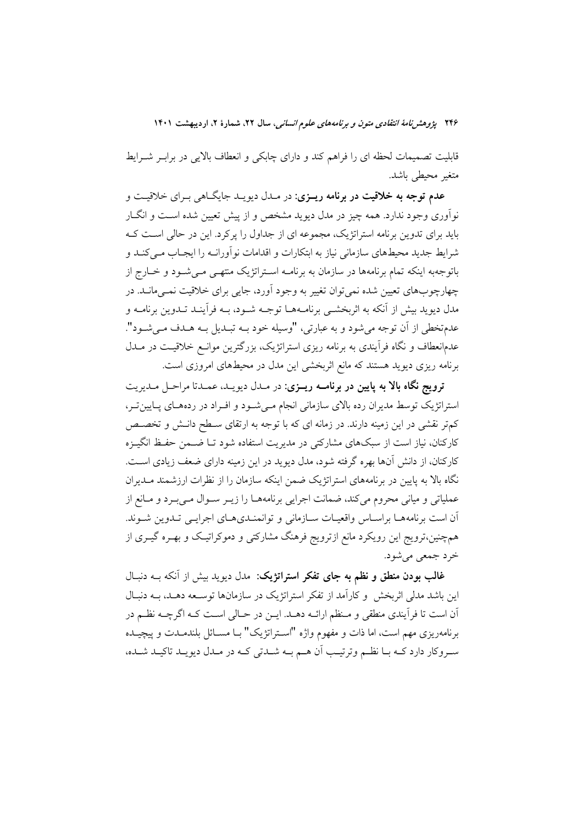۲۴۶ پژوهشرن*امهٔ انتقادی متون و برنامههای علوم انسانی،* سال ۲۲، شمارهٔ ۲، اردیبهشت ۱۴۰۱

قابلیت تصمیمات لحظه ای را فراهم کند و دارای چابکی و انعطاف بالایی در برابـر شــرایط متغير محيطي باشد.

عدم توجه به خلاقیت در برنامه ریـزی: در مـدل دیویـد جایگـاه<sub>ی بـر</sub>ای خلاقیـت و نوآوری وجود ندارد. همه چیز در مدل دیوید مشخص و از پیش تعیین شده اسـت و انگــار باید برای تدوین برنامه استراتژیک، مجموعه ای از جداول را پرکرد. این در حالی است ک شرایط جدید محیطهای سازمانی نیاز به ابتکارات و اقدامات نو آورانــه را ایجــاب مــی کنــد و باتوجهبه اینکه تمام برنامهها در سازمان به برنامـه اسـتراتژیک منتهـی مـیشـود و خــارج از چهارچوبهای تعیین شده نمی توان تغییر به وجود اَورد، جایبی برای خلاقیت نمـی،مانــد. در مدل دیوید بیش از آنکه به اثربخشــی برنامــههــا توجــه شــود، بــه فرآینــد تــدوین برنامــه و عدمتخطي از آن توجه مي شود و به عبارتي، "وسيله خود بــه تبــديل بــه هــدف مــي شــود". عدمانعطاف و نگاه فرآیندی به برنامه ریزی استراتژیک، بزرگترین موانـع خلاقیـت در مــدل برنامه ریزی دیوید هستند که مانع اثربخشی این مدل در محیطهای امروزی است.

ترويج نگاه بالا به پايين در برنامــه ريــزي: در مــدل ديويــد، عمــدتا مراحـل مـديريت استراتژیک توسط مدیران رده بالای سازمانی انجام مـیشـود و افـراد در ردههـای پـایینِ تـر، کمتر نقشی در این زمینه دارند. در زمانه ای که با توجه به ارتقای سـطح دانـش و تخصـص کارکنان، نیاز است از سبکهای مشارکتی در مدیریت استفاده شود تـا ضـمن حفـظ انگیــزه کارکنان، از دانش آنها بهره گرفته شود، مدل دیوید در این زمینه دارای ضعف زیادی است. نگاه بالا به پایین در برنامههای استراتژیک ضمن اینکه سازمان را از نظرات ارزشمند مــدیران عملیاتی و میانی محروم میکند، ضمانت اجرایی برنامههـا را زیـر سـوال مـیبـرد و مـانع از آن است برنامههـا براسـاس واقعيـات سـازماني و توانمنـديهـاي اجرايـي تـدوين شـوند. همچنین،ترویج این رویکرد مانع ازترویج فرهنگ مشارکتی و دموکراتیک و بهـره گیـری از خرد جمعي مي شود.

غالب بودن منطق و نظم به جای تفکر استراتژیک: مدل دیوید بیش از آنکه بــه دنبـال این باشد مدلی اثربخش و کارآمد از تفکر استراتژیک در سازمانها توسـعه دهـد، بــه دنبـال اّن است تا فراّیندی منطقی و مـنظم ارائــه دهــد. ایــن در حــالی اســت کــه اگرچــه نظــم در برنامهريزي مهم است، اما ذات و مفهوم واژه "اسـتراتژيک" بـا مســائل بلندمــدت و پيچيــده سروکار دارد کــه بــا نظــم وترتيــب آن هــم بــه شــدتى کــه در مــدل ديويــد تاکيــد شــده،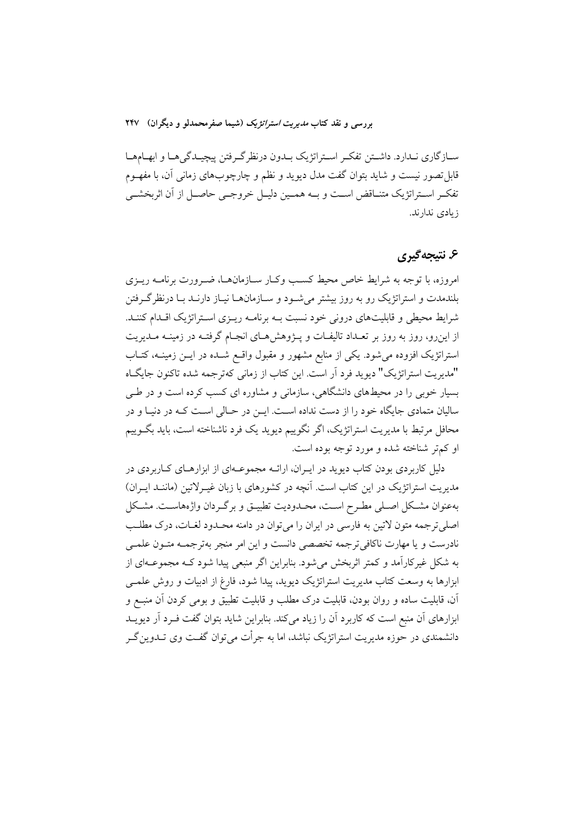سـازگاري نـدارد. داشـتن تفكـر اسـتراتژيك بـدون درنظرگـرفتن پيچيـدگيهـا و ابهـامهـا قابل تصور نیست و شاید بتوان گفت مدل دیوید و نظم و چارچوبهای زمانی آن، با مفهــوم تفكـر اسـتراتژيك متنـاقض اسـت و بــه همـين دليـل خروجـي حاصـل از آن اثربخشــي ز يادى ندارند.

# ۶. نتيجه گيري

امروزه، با توجه به شرایط خاص محیط کسب وک ر سازمانها، ضرورت برنامـه ریـزی بلندمدت و استراتژیک رو به روز بیشتر میشـود و سـازمانهـا نیـاز دارنـد بـا درنظرگـرفتن شرایط محیطی و قابلیتهای درونی خود نسبت بـه برنامـه ریـزی اسـتراتژیک اقـدام کننـد. از این رو، روز به روز بر تعـداد تالیفـات و پــژوهش۵عـای انجـام گرفتـه در زمینــه مـدیریت استراتژیک افزوده می شود. یکی از منابع مشهور و مقبول واقع شـده در ایـن زمینـه، کتـاب "مديريت استراتژيک" ديويد فرد اَر است. اين کتاب از زماني کهترجمه شده تاکنون جايگــاه بسیار خوبی را در محیطهای دانشگاهی، سازمانی و مشاوره ای کسب کرده است و در طے سالیان متمادی جایگاه خود را از دست نداده است. ایــن در حــالی اسـت کــه در دنیـا و در محافل مرتبط با مدیریت استراتژیک، اگر نگوییم دیوید یک فرد ناشناخته است، باید بگــوییم او کم تر شناخته شده و مورد توجه بوده است.

دلیل کاربردی بودن کتاب دیوید در ایـران، ارائــه مجموعــهای از ابزارهــای کــاربردی در مدیریت استراتژیک در این کتاب است. آنچه در کشورهای با زبان غیـرلاتین (ماننـد ایـران) بهعنوان مشكل اصلى مطـرح اسـت، محـدوديت تطبيـق و برگـردان واژههاسـت. مشـكل اصلیترجمه متون لاتین به فارسی در ایران را میتوان در دامنه محـدود لغــات، درک مطلــب نادرست و یا مهارت ناکافی ترجمه تخصصی دانست و این امر منجر بهترجمـه متـون علمـی به شکل غیرکارآمد و کمتر اثربخش می شود. بنابراین اگر منبعی پیدا شود کـه مجموعـهای از ابزارها به وسعت کتاب مدیریت استراتژیک دیوید، پیدا شود، فارغ از ادبیات و روش علمــی آن، قابلیت ساده و روان بودن، قابلیت درک مطلب و قابلیت تطبیق و بومی کردن آن منبـع و ابزارهای آن منبع است که کاربرد آن را زیاد میکند. بنابراین شاید بتوان گفت فـرد آر دیویــد دانشمندی در حوزه مدیریت استراتژیک نباشد، اما به جرأت می توان گفت وی تــدوین گــر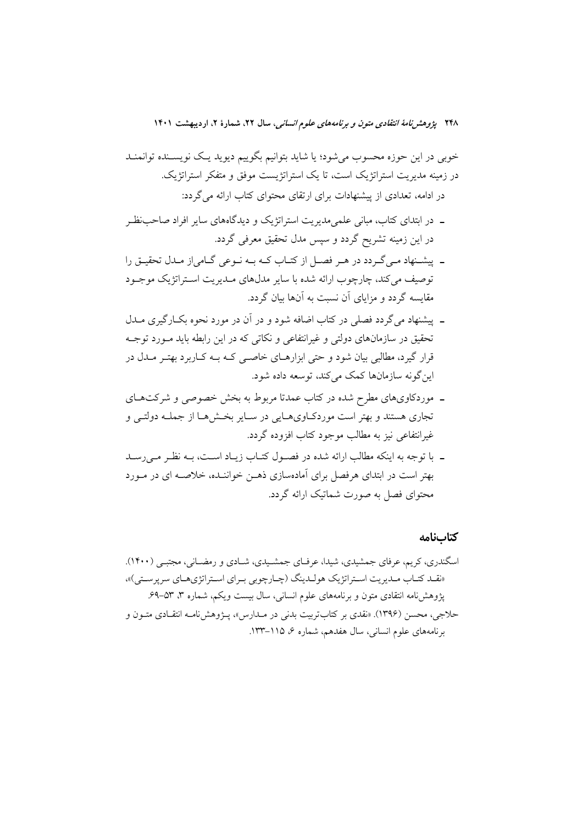خوبی در این حوزه محسوب میشود؛ یا شاید بتوانیم بگوییم دیوید یک نویسـنده توانمنــد در زمینه مدیریت استراتژیک است، تا یک استراتژیست موفق و متفکر استراتژیک. در ادامه، تعدادی از پیشنهادات برای ارتقای محتوای کتاب ارائه می گردد:

- ۔ در ابتدای کتاب، مبانی علمی مدیریت استراتژیک و دیدگاههای سایر افراد صاحب نظـر در این زمینه تشریح گردد و سپس مدل تحقیق معرفی گردد.
- ـ پیشـنهاد مـي گـردد در هـر فصـل از كتـاب كـه بـه نـوعي گـامياز مـدل تحقيـق را توصيف مي كند، چارچوب ارائه شده با ساير مدلهاي مـديريت اسـتراتژيک موجـود مقایسه گردد و مزایای آن نسبت به آنها بیان گردد.
- ـ پیشنهاد می گردد فصلی در کتاب اضافه شود و در آن در مورد نحوه بکبارگیری میدل تحقیق در سازمانهای دولتی و غیرانتفاعی و نکاتی که در این رابطه باید مـورد توجـه قرار گیرد، مطالبی بیان شود و حتی ابزارهـای خاصـبی کـه بــه کــاربرد بهتــر مــدل در ابن گونه سازمانها کمک میکند، توسعه داده شود.
- ـ موردکاویهای مطرح شده در کتاب عمدتا مربوط به بخش خصوصی و شرکتهـای تجاری هستند و بهتر است موردکاویهـایی در سـایر بخـشهـا از جملـه دولتـی و غیرانتفاعی نیز به مطالب موجود کتاب افزوده گردد.
- ـ با توجه به اینکه مطالب ارائه شده در فصول کتـاب زیـاد اسـت، بـه نظـر مـی رسـد بهتر است در ابتدای هرفصل برای آمادهسازی ذهـن خواننـده، خلاصـه ای در مـورد محتوای فصل به صورت شماتیک ارائه گردد.

#### كتابنامه